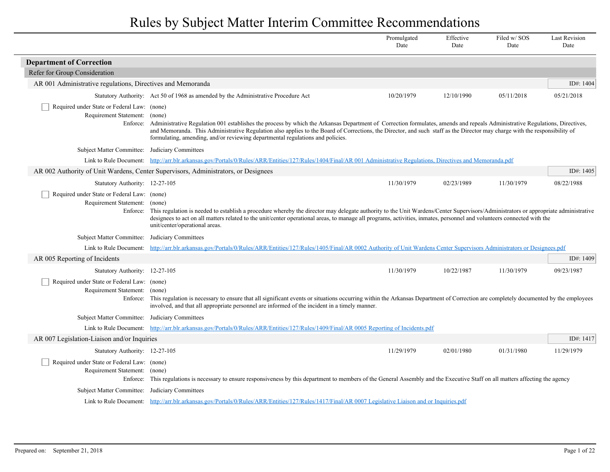|                                                                                                                     |                                                                                                                                                                                                                                                                                                                                                                                                                                                       | Promulgated<br>Date | Effective<br>Date | Filed w/SOS<br>Date | <b>Last Revision</b><br>Date |
|---------------------------------------------------------------------------------------------------------------------|-------------------------------------------------------------------------------------------------------------------------------------------------------------------------------------------------------------------------------------------------------------------------------------------------------------------------------------------------------------------------------------------------------------------------------------------------------|---------------------|-------------------|---------------------|------------------------------|
| <b>Department of Correction</b>                                                                                     |                                                                                                                                                                                                                                                                                                                                                                                                                                                       |                     |                   |                     |                              |
| Refer for Group Consideration                                                                                       |                                                                                                                                                                                                                                                                                                                                                                                                                                                       |                     |                   |                     |                              |
| AR 001 Administrative regulations, Directives and Memoranda                                                         |                                                                                                                                                                                                                                                                                                                                                                                                                                                       |                     |                   |                     | ID#: 1404                    |
|                                                                                                                     | Statutory Authority: Act 50 of 1968 as amended by the Administrative Procedure Act                                                                                                                                                                                                                                                                                                                                                                    | 10/20/1979          | 12/10/1990        | 05/11/2018          | 05/21/2018                   |
| Required under State or Federal Law: (none)<br>Requirement Statement:<br>Enforce:                                   | (none)<br>Administrative Regulation 001 establishes the process by which the Arkansas Department of Correction formulates, amends and repeals Administrative Regulations, Directives,<br>and Memoranda. This Administrative Regulation also applies to the Board of Corrections, the Director, and such staff as the Director may charge with the responsibility of<br>formulating, amending, and/or reviewing departmental regulations and policies. |                     |                   |                     |                              |
| Subject Matter Committee: Judiciary Committees                                                                      |                                                                                                                                                                                                                                                                                                                                                                                                                                                       |                     |                   |                     |                              |
| Link to Rule Document:                                                                                              | http://arr.blr.arkansas.gov/Portals/0/Rules/ARR/Entities/127/Rules/1404/Final/AR 001 Administrative Regulations, Directives and Memoranda.pdf                                                                                                                                                                                                                                                                                                         |                     |                   |                     |                              |
|                                                                                                                     | AR 002 Authority of Unit Wardens, Center Supervisors, Administrators, or Designees                                                                                                                                                                                                                                                                                                                                                                    |                     |                   |                     | ID#: 1405                    |
| Statutory Authority: 12-27-105<br>Required under State or Federal Law: (none)<br>Requirement Statement:<br>Enforce: | (none)<br>This regulation is needed to establish a procedure whereby the director may delegate authority to the Unit Wardens/Center Supervisors/Administrators or appropriate administrative<br>designees to act on all matters related to the unit/center operational areas, to manage all programs, activities, inmates, personnel and volunteers connected with the<br>unit/center/operational areas.                                              | 11/30/1979          | 02/23/1989        | 11/30/1979          | 08/22/1988                   |
| <b>Subject Matter Committee:</b>                                                                                    | Judiciary Committees                                                                                                                                                                                                                                                                                                                                                                                                                                  |                     |                   |                     |                              |
| Link to Rule Document:                                                                                              | http://arr.blr.arkansas.gov/Portals/0/Rules/ARR/Entities/127/Rules/1405/Final/AR 0002 Authority of Unit Wardens Center Supervisors Administrators or Designees.pdf                                                                                                                                                                                                                                                                                    |                     |                   |                     |                              |
| AR 005 Reporting of Incidents                                                                                       |                                                                                                                                                                                                                                                                                                                                                                                                                                                       |                     |                   |                     | ID#: 1409                    |
| Statutory Authority: 12-27-105                                                                                      |                                                                                                                                                                                                                                                                                                                                                                                                                                                       | 11/30/1979          | 10/22/1987        | 11/30/1979          | 09/23/1987                   |
| Required under State or Federal Law: (none)<br>Requirement Statement:<br>Enforce:                                   | (none)<br>This regulation is necessary to ensure that all significant events or situations occurring within the Arkansas Department of Correction are completely documented by the employees<br>involved, and that all appropriate personnel are informed of the incident in a timely manner.                                                                                                                                                         |                     |                   |                     |                              |
| <b>Subject Matter Committee:</b>                                                                                    | Judiciary Committees                                                                                                                                                                                                                                                                                                                                                                                                                                  |                     |                   |                     |                              |
| Link to Rule Document:                                                                                              | http://arr.blr.arkansas.gov/Portals/0/Rules/ARR/Entities/127/Rules/1409/Final/AR 0005 Reporting of Incidents.pdf                                                                                                                                                                                                                                                                                                                                      |                     |                   |                     |                              |
| AR 007 Legislation-Liaison and/or Inquiries                                                                         |                                                                                                                                                                                                                                                                                                                                                                                                                                                       |                     |                   |                     | ID#: 1417                    |
| Statutory Authority: 12-27-105                                                                                      |                                                                                                                                                                                                                                                                                                                                                                                                                                                       | 11/29/1979          | 02/01/1980        | 01/31/1980          | 11/29/1979                   |
| Required under State or Federal Law: (none)<br>Requirement Statement:<br>Enforce:                                   | (none)<br>This regulations is necessary to ensure responsiveness by this department to members of the General Assembly and the Executive Staff on all matters affecting the agency                                                                                                                                                                                                                                                                    |                     |                   |                     |                              |
| Subject Matter Committee:                                                                                           | Judiciary Committees                                                                                                                                                                                                                                                                                                                                                                                                                                  |                     |                   |                     |                              |
|                                                                                                                     | Link to Rule Document: http://arr.blr.arkansas.gov/Portals/0/Rules/ARR/Entities/127/Rules/1417/Final/AR 0007 Legislative Liaison and or Inquiries.pdf                                                                                                                                                                                                                                                                                                 |                     |                   |                     |                              |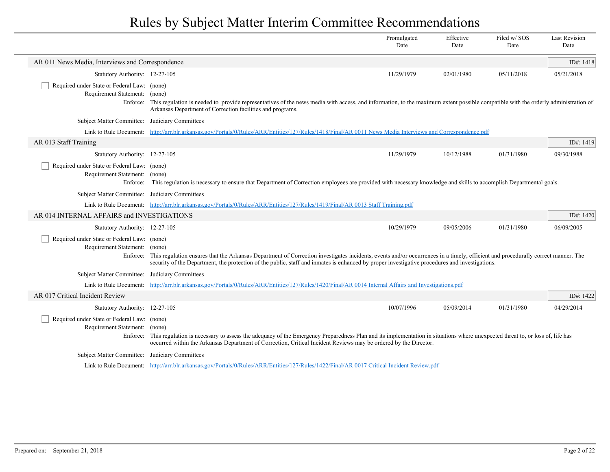|                                                                                   |                                                                                                                                                                                                                                                                                                                                                       | Promulgated<br>Date | Effective<br>Date | Filed w/SOS<br>Date | <b>Last Revision</b><br>Date |
|-----------------------------------------------------------------------------------|-------------------------------------------------------------------------------------------------------------------------------------------------------------------------------------------------------------------------------------------------------------------------------------------------------------------------------------------------------|---------------------|-------------------|---------------------|------------------------------|
| AR 011 News Media, Interviews and Correspondence                                  |                                                                                                                                                                                                                                                                                                                                                       |                     |                   |                     | ID#: 1418                    |
| Statutory Authority: 12-27-105                                                    |                                                                                                                                                                                                                                                                                                                                                       | 11/29/1979          | 02/01/1980        | 05/11/2018          | 05/21/2018                   |
| Required under State or Federal Law: (none)<br>Requirement Statement:             | (none)<br>Enforce: This regulation is needed to provide representatives of the news media with access, and information, to the maximum extent possible compatible with the orderly administration of<br>Arkansas Department of Correction facilities and programs.                                                                                    |                     |                   |                     |                              |
| Subject Matter Committee: Judiciary Committees                                    |                                                                                                                                                                                                                                                                                                                                                       |                     |                   |                     |                              |
|                                                                                   | Link to Rule Document: http://arr.blr.arkansas.gov/Portals/0/Rules/ARR/Entities/127/Rules/1418/Final/AR 0011 News Media Interviews and Correspondence.pdf                                                                                                                                                                                             |                     |                   |                     |                              |
| AR 013 Staff Training                                                             |                                                                                                                                                                                                                                                                                                                                                       |                     |                   |                     | ID#: 1419                    |
| Statutory Authority: 12-27-105                                                    |                                                                                                                                                                                                                                                                                                                                                       | 11/29/1979          | 10/12/1988        | 01/31/1980          | 09/30/1988                   |
| Required under State or Federal Law: (none)<br>Requirement Statement:<br>Enforce: | (none)<br>This regulation is necessary to ensure that Department of Correction employees are provided with necessary knowledge and skills to accomplish Departmental goals.                                                                                                                                                                           |                     |                   |                     |                              |
| Subject Matter Committee: Judiciary Committees                                    |                                                                                                                                                                                                                                                                                                                                                       |                     |                   |                     |                              |
|                                                                                   | Link to Rule Document: http://arr.blr.arkansas.gov/Portals/0/Rules/ARR/Entities/127/Rules/1419/Final/AR 0013 Staff Training.pdf                                                                                                                                                                                                                       |                     |                   |                     |                              |
| AR 014 INTERNAL AFFAIRS and INVESTIGATIONS                                        |                                                                                                                                                                                                                                                                                                                                                       |                     |                   |                     | ID#: $1420$                  |
| Statutory Authority: 12-27-105                                                    |                                                                                                                                                                                                                                                                                                                                                       | 10/29/1979          | 09/05/2006        | 01/31/1980          | 06/09/2005                   |
| Required under State or Federal Law: (none)<br>Requirement Statement:             | (none)<br>Enforce: This regulation ensures that the Arkansas Department of Correction investigates incidents, events and/or occurrences in a timely, efficient and procedurally correct manner. The<br>security of the Department, the protection of the public, staff and inmates is enhanced by proper investigative procedures and investigations. |                     |                   |                     |                              |
| Subject Matter Committee: Judiciary Committees                                    |                                                                                                                                                                                                                                                                                                                                                       |                     |                   |                     |                              |
|                                                                                   | Link to Rule Document: http://arr.blr.arkansas.gov/Portals/0/Rules/ARR/Entities/127/Rules/1420/Final/AR 0014 Internal Affairs and Investigations.pdf                                                                                                                                                                                                  |                     |                   |                     |                              |
| AR 017 Critical Incident Review                                                   |                                                                                                                                                                                                                                                                                                                                                       |                     |                   |                     | ID#: 1422                    |
| Statutory Authority: 12-27-105                                                    |                                                                                                                                                                                                                                                                                                                                                       | 10/07/1996          | 05/09/2014        | 01/31/1980          | 04/29/2014                   |
| Required under State or Federal Law: (none)<br>Requirement Statement:             | (none)<br>Enforce: This regulation is necessary to assess the adequacy of the Emergency Preparedness Plan and its implementation in situations where unexpected threat to, or loss of, life has<br>occurred within the Arkansas Department of Correction, Critical Incident Reviews may be ordered by the Director.                                   |                     |                   |                     |                              |
| Subject Matter Committee: Judiciary Committees                                    |                                                                                                                                                                                                                                                                                                                                                       |                     |                   |                     |                              |
|                                                                                   | Link to Rule Document: http://arr.blr.arkansas.gov/Portals/0/Rules/ARR/Entities/127/Rules/1422/Final/AR 0017 Critical Incident Review.pdf                                                                                                                                                                                                             |                     |                   |                     |                              |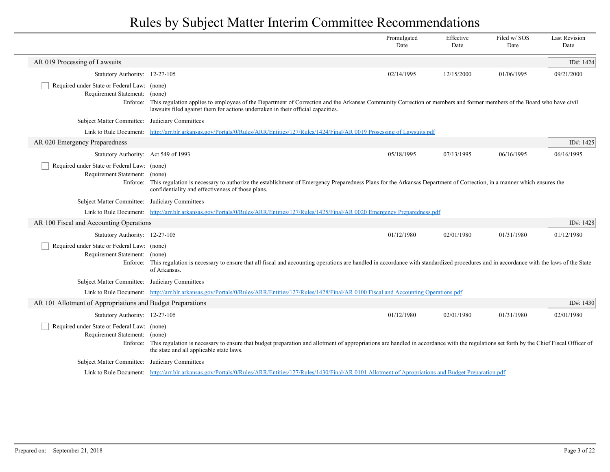|                                                                                   |                                                                                                                                                                                                                                                                    | Promulgated<br>Date | Effective<br>Date | Filed w/ SOS<br>Date | <b>Last Revision</b><br>Date |  |
|-----------------------------------------------------------------------------------|--------------------------------------------------------------------------------------------------------------------------------------------------------------------------------------------------------------------------------------------------------------------|---------------------|-------------------|----------------------|------------------------------|--|
| AR 019 Processing of Lawsuits                                                     |                                                                                                                                                                                                                                                                    |                     |                   |                      | ID#: 1424                    |  |
| Statutory Authority: 12-27-105                                                    |                                                                                                                                                                                                                                                                    | 02/14/1995          | 12/15/2000        | 01/06/1995           | 09/21/2000                   |  |
| Required under State or Federal Law: (none)<br>Requirement Statement:<br>Enforce: | (none)<br>This regulation applies to employees of the Department of Correction and the Arkansas Community Correction or members and former members of the Board who have civil<br>lawsuits filed against them for actions undertaken in their official capacities. |                     |                   |                      |                              |  |
| Subject Matter Committee: Judiciary Committees                                    |                                                                                                                                                                                                                                                                    |                     |                   |                      |                              |  |
|                                                                                   | Link to Rule Document: http://arr.blr.arkansas.gov/Portals/0/Rules/ARR/Entities/127/Rules/1424/Final/AR 0019 Prosessing of Lawsuits.pdf                                                                                                                            |                     |                   |                      |                              |  |
| AR 020 Emergency Preparedness                                                     |                                                                                                                                                                                                                                                                    |                     |                   |                      | ID#: 1425                    |  |
| Statutory Authority: Act 549 of 1993                                              |                                                                                                                                                                                                                                                                    | 05/18/1995          | 07/13/1995        | 06/16/1995           | 06/16/1995                   |  |
| Required under State or Federal Law: (none)<br>Requirement Statement: (none)      | Enforce: This regulation is necessary to authorize the establishment of Emergency Preparedness Plans for the Arkansas Department of Correction, in a manner which ensures the<br>confidentiality and effectiveness of those plans.                                 |                     |                   |                      |                              |  |
| Subject Matter Committee: Judiciary Committees                                    |                                                                                                                                                                                                                                                                    |                     |                   |                      |                              |  |
|                                                                                   | Link to Rule Document: http://arr.blr.arkansas.gov/Portals/0/Rules/ARR/Entities/127/Rules/1425/Final/AR 0020 Emergency Preparedness.pdf                                                                                                                            |                     |                   |                      |                              |  |
| AR 100 Fiscal and Accounting Operations                                           |                                                                                                                                                                                                                                                                    |                     |                   |                      | ID#: 1428                    |  |
| Statutory Authority: 12-27-105                                                    |                                                                                                                                                                                                                                                                    | 01/12/1980          | 02/01/1980        | 01/31/1980           | 01/12/1980                   |  |
| Required under State or Federal Law: (none)<br>Requirement Statement: (none)      | Enforce: This regulation is necessary to ensure that all fiscal and accounting operations are handled in accordance with standardized procedures and in accordance with the laws of the State<br>of Arkansas.                                                      |                     |                   |                      |                              |  |
| Subject Matter Committee: Judiciary Committees                                    |                                                                                                                                                                                                                                                                    |                     |                   |                      |                              |  |
|                                                                                   | Link to Rule Document: http://arr.blr.arkansas.gov/Portals/0/Rules/ARR/Entities/127/Rules/1428/Final/AR 0100 Fiscal and Accounting Operations.pdf                                                                                                                  |                     |                   |                      |                              |  |
| AR 101 Allotment of Appropriations and Budget Preparations                        |                                                                                                                                                                                                                                                                    |                     |                   |                      | ID#: $1430$                  |  |
| Statutory Authority: 12-27-105                                                    |                                                                                                                                                                                                                                                                    | 01/12/1980          | 02/01/1980        | 01/31/1980           | 02/01/1980                   |  |
| Required under State or Federal Law: (none)<br>Requirement Statement:             | (none)<br>Enforce: This regulation is necessary to ensure that budget preparation and allotment of appropriations are handled in accordance with the regulations set forth by the Chief Fiscal Officer of<br>the state and all applicable state laws.              |                     |                   |                      |                              |  |
| Subject Matter Committee: Judiciary Committees                                    |                                                                                                                                                                                                                                                                    |                     |                   |                      |                              |  |
|                                                                                   | Link to Rule Document: http://arr.blr.arkansas.gov/Portals/0/Rules/ARR/Entities/127/Rules/1430/Final/AR 0101 Allotment of Apropriations and Budget Preparation.pdf                                                                                                 |                     |                   |                      |                              |  |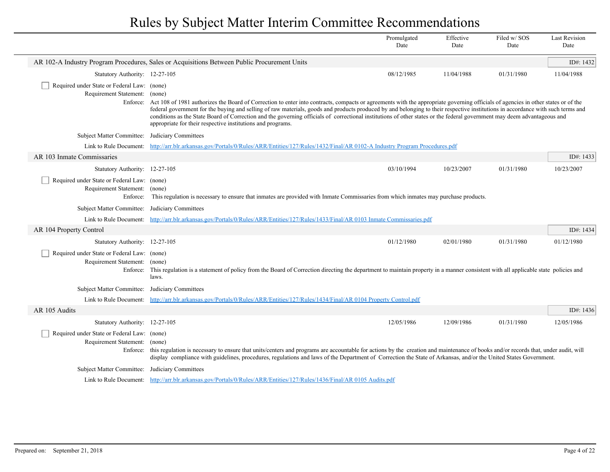|                                                                                          |                                                                                                                                                                                                                                                                                                                                                                                                                                                                                                                                                                                                                          | Promulgated<br>Date | Effective<br>Date | Filed w/SOS<br>Date | <b>Last Revision</b><br>Date |
|------------------------------------------------------------------------------------------|--------------------------------------------------------------------------------------------------------------------------------------------------------------------------------------------------------------------------------------------------------------------------------------------------------------------------------------------------------------------------------------------------------------------------------------------------------------------------------------------------------------------------------------------------------------------------------------------------------------------------|---------------------|-------------------|---------------------|------------------------------|
|                                                                                          | AR 102-A Industry Program Procedures, Sales or Acquisitions Between Public Procurement Units                                                                                                                                                                                                                                                                                                                                                                                                                                                                                                                             |                     |                   |                     | ID#: 1432                    |
| Statutory Authority: 12-27-105                                                           |                                                                                                                                                                                                                                                                                                                                                                                                                                                                                                                                                                                                                          | 08/12/1985          | 11/04/1988        | 01/31/1980          | 11/04/1988                   |
| Required under State or Federal Law: (none)<br>Requirement Statement: (none)             | Enforce: Act 108 of 1981 authorizes the Board of Correction to enter into contracts, compacts or agreements with the appropriate governing officials of agencies in other states or of the<br>federal government for the buying and selling of raw materials, goods and products produced by and belonging to their respective institutions in accordance with such terms and<br>conditions as the State Board of Correction and the governing officials of correctional institutions of other states or the federal government may deem advantageous and<br>appropriate for their respective institutions and programs. |                     |                   |                     |                              |
| Subject Matter Committee:                                                                | Judiciary Committees                                                                                                                                                                                                                                                                                                                                                                                                                                                                                                                                                                                                     |                     |                   |                     |                              |
|                                                                                          | Link to Rule Document: http://arr.blr.arkansas.gov/Portals/0/Rules/ARR/Entities/127/Rules/1432/Final/AR 0102-A Industry Program Procedures.pdf                                                                                                                                                                                                                                                                                                                                                                                                                                                                           |                     |                   |                     |                              |
| AR 103 Inmate Commissaries                                                               |                                                                                                                                                                                                                                                                                                                                                                                                                                                                                                                                                                                                                          |                     |                   |                     | ID#: 1433                    |
| Statutory Authority: 12-27-105                                                           |                                                                                                                                                                                                                                                                                                                                                                                                                                                                                                                                                                                                                          | 03/10/1994          | 10/23/2007        | 01/31/1980          | 10/23/2007                   |
| Required under State or Federal Law: (none)<br>Requirement Statement: (none)<br>Enforce: | This regulation is necessary to ensure that inmates are provided with Inmate Commissaries from which inmates may purchase products.                                                                                                                                                                                                                                                                                                                                                                                                                                                                                      |                     |                   |                     |                              |
| <b>Subject Matter Committee:</b>                                                         | Judiciary Committees                                                                                                                                                                                                                                                                                                                                                                                                                                                                                                                                                                                                     |                     |                   |                     |                              |
|                                                                                          | Link to Rule Document: http://arr.blr.arkansas.gov/Portals/0/Rules/ARR/Entities/127/Rules/1433/Final/AR 0103 Inmate Commissaries.pdf                                                                                                                                                                                                                                                                                                                                                                                                                                                                                     |                     |                   |                     |                              |
| AR 104 Property Control                                                                  |                                                                                                                                                                                                                                                                                                                                                                                                                                                                                                                                                                                                                          |                     |                   |                     | ID#: 1434                    |
| Statutory Authority: 12-27-105                                                           |                                                                                                                                                                                                                                                                                                                                                                                                                                                                                                                                                                                                                          | 01/12/1980          | 02/01/1980        | 01/31/1980          | 01/12/1980                   |
| Required under State or Federal Law: (none)<br>Requirement Statement: (none)<br>Enforce: | This regulation is a statement of policy from the Board of Correction directing the department to maintain property in a manner consistent with all applicable state policies and<br>laws.                                                                                                                                                                                                                                                                                                                                                                                                                               |                     |                   |                     |                              |
| Subject Matter Committee: Judiciary Committees                                           |                                                                                                                                                                                                                                                                                                                                                                                                                                                                                                                                                                                                                          |                     |                   |                     |                              |
|                                                                                          | Link to Rule Document: http://arr.blr.arkansas.gov/Portals/0/Rules/ARR/Entities/127/Rules/1434/Final/AR 0104 Property Control.pdf                                                                                                                                                                                                                                                                                                                                                                                                                                                                                        |                     |                   |                     |                              |
| AR 105 Audits                                                                            |                                                                                                                                                                                                                                                                                                                                                                                                                                                                                                                                                                                                                          |                     |                   |                     | ID#: $1436$                  |
| Statutory Authority: 12-27-105                                                           |                                                                                                                                                                                                                                                                                                                                                                                                                                                                                                                                                                                                                          | 12/05/1986          | 12/09/1986        | 01/31/1980          | 12/05/1986                   |
| Required under State or Federal Law: (none)<br>Requirement Statement:                    | (none)<br>Enforce: this regulation is necessary to ensure that units/centers and programs are accountable for actions by the creation and maintenance of books and/or records that, under audit, will<br>display compliance with guidelines, procedures, regulations and laws of the Department of Correction the State of Arkansas, and/or the United States Government.                                                                                                                                                                                                                                                |                     |                   |                     |                              |
| Subject Matter Committee: Judiciary Committees                                           |                                                                                                                                                                                                                                                                                                                                                                                                                                                                                                                                                                                                                          |                     |                   |                     |                              |
|                                                                                          | Link to Rule Document: http://arr.blr.arkansas.gov/Portals/0/Rules/ARR/Entities/127/Rules/1436/Final/AR 0105 Audits.pdf                                                                                                                                                                                                                                                                                                                                                                                                                                                                                                  |                     |                   |                     |                              |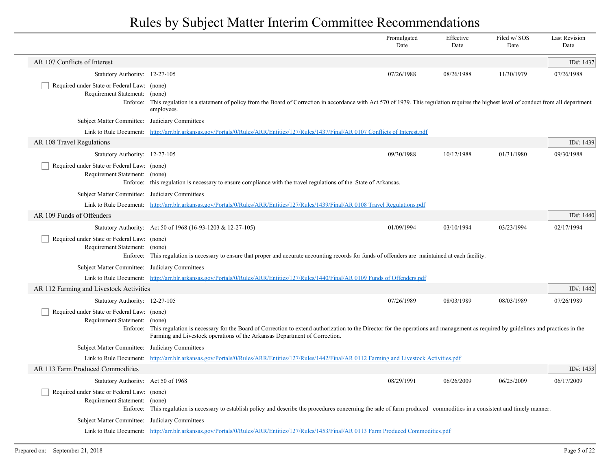|                                                                                   |                                                                                                                                                                                                                                                                          | Promulgated<br>Date | Effective<br>Date | Filed w/SOS<br>Date | <b>Last Revision</b><br>Date |
|-----------------------------------------------------------------------------------|--------------------------------------------------------------------------------------------------------------------------------------------------------------------------------------------------------------------------------------------------------------------------|---------------------|-------------------|---------------------|------------------------------|
| AR 107 Conflicts of Interest                                                      |                                                                                                                                                                                                                                                                          |                     |                   |                     | ID#: 1437                    |
| Statutory Authority: 12-27-105                                                    |                                                                                                                                                                                                                                                                          | 07/26/1988          | 08/26/1988        | 11/30/1979          | 07/26/1988                   |
| Required under State or Federal Law: (none)<br>Requirement Statement:<br>Enforce: | (none)<br>This regulation is a statement of policy from the Board of Correction in accordance with Act 570 of 1979. This regulation requires the highest level of conduct from all department<br>employees.                                                              |                     |                   |                     |                              |
| Subject Matter Committee: Judiciary Committees                                    |                                                                                                                                                                                                                                                                          |                     |                   |                     |                              |
|                                                                                   | Link to Rule Document: http://arr.blr.arkansas.gov/Portals/0/Rules/ARR/Entities/127/Rules/1437/Final/AR 0107 Conflicts of Interest.pdf                                                                                                                                   |                     |                   |                     |                              |
| AR 108 Travel Regulations                                                         |                                                                                                                                                                                                                                                                          |                     |                   |                     | ID#: 1439                    |
| Statutory Authority: 12-27-105                                                    |                                                                                                                                                                                                                                                                          | 09/30/1988          | 10/12/1988        | 01/31/1980          | 09/30/1988                   |
| Required under State or Federal Law: (none)<br>Requirement Statement: (none)      | Enforce: this regulation is necessary to ensure compliance with the travel regulations of the State of Arkansas.                                                                                                                                                         |                     |                   |                     |                              |
| Subject Matter Committee: Judiciary Committees                                    |                                                                                                                                                                                                                                                                          |                     |                   |                     |                              |
|                                                                                   | Link to Rule Document: http://arr.blr.arkansas.gov/Portals/0/Rules/ARR/Entities/127/Rules/1439/Final/AR 0108 Travel Regulations.pdf                                                                                                                                      |                     |                   |                     |                              |
| AR 109 Funds of Offenders                                                         |                                                                                                                                                                                                                                                                          |                     |                   |                     | ID#: 1440                    |
|                                                                                   | Statutory Authority: Act 50 of 1968 (16-93-1203 & 12-27-105)                                                                                                                                                                                                             | 01/09/1994          | 03/10/1994        | 03/23/1994          | 02/17/1994                   |
| Required under State or Federal Law: (none)<br>Requirement Statement: (none)      | Enforce: This regulation is necessary to ensure that proper and accurate accounting records for funds of offenders are maintained at each facility.                                                                                                                      |                     |                   |                     |                              |
| Subject Matter Committee: Judiciary Committees                                    |                                                                                                                                                                                                                                                                          |                     |                   |                     |                              |
|                                                                                   | Link to Rule Document: http://arr.blr.arkansas.gov/Portals/0/Rules/ARR/Entities/127/Rules/1440/Final/AR 0109 Funds of Offenders.pdf                                                                                                                                      |                     |                   |                     |                              |
| AR 112 Farming and Livestock Activities                                           |                                                                                                                                                                                                                                                                          |                     |                   |                     | ID#: 1442                    |
| Statutory Authority: 12-27-105                                                    |                                                                                                                                                                                                                                                                          | 07/26/1989          | 08/03/1989        | 08/03/1989          | 07/26/1989                   |
| Required under State or Federal Law: (none)<br>Requirement Statement: (none)      | Enforce: This regulation is necessary for the Board of Correction to extend authorization to the Director for the operations and management as required by guidelines and practices in the<br>Farming and Livestock operations of the Arkansas Department of Correction. |                     |                   |                     |                              |
| Subject Matter Committee: Judiciary Committees                                    |                                                                                                                                                                                                                                                                          |                     |                   |                     |                              |
| Link to Rule Document:                                                            | http://arr.blr.arkansas.gov/Portals/0/Rules/ARR/Entities/127/Rules/1442/Final/AR 0112 Farming and Livestock Activities.pdf                                                                                                                                               |                     |                   |                     |                              |
| AR 113 Farm Produced Commodities                                                  |                                                                                                                                                                                                                                                                          |                     |                   |                     | ID#: 1453                    |
| Statutory Authority: Act 50 of 1968                                               |                                                                                                                                                                                                                                                                          | 08/29/1991          | 06/26/2009        | 06/25/2009          | 06/17/2009                   |
| Required under State or Federal Law: (none)<br>Requirement Statement: (none)      | Enforce: This regulation is necessary to establish policy and describe the procedures concerning the sale of farm produced commodities in a consistent and timely manner.                                                                                                |                     |                   |                     |                              |
| Subject Matter Committee: Judiciary Committees                                    |                                                                                                                                                                                                                                                                          |                     |                   |                     |                              |
|                                                                                   | Link to Rule Document: http://arr.blr.arkansas.gov/Portals/0/Rules/ARR/Entities/127/Rules/1453/Final/AR 0113 Farm Produced Commodities.pdf                                                                                                                               |                     |                   |                     |                              |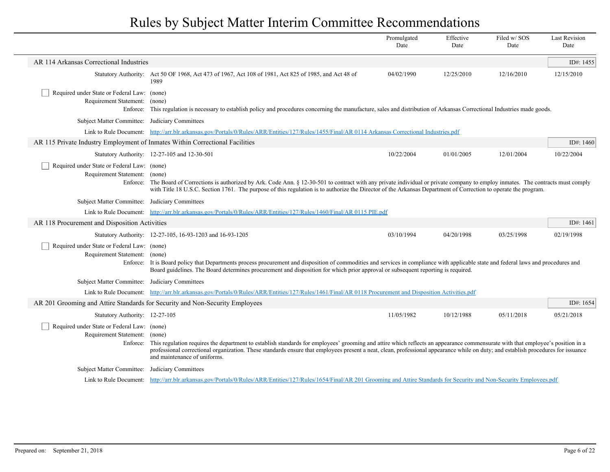|                                               |                                    |                                                                                                                                                                                                                                                                                                                                                                                                               | Promulgated<br>Date | Effective<br>Date | Filed w/SOS<br>Date | <b>Last Revision</b><br>Date |
|-----------------------------------------------|------------------------------------|---------------------------------------------------------------------------------------------------------------------------------------------------------------------------------------------------------------------------------------------------------------------------------------------------------------------------------------------------------------------------------------------------------------|---------------------|-------------------|---------------------|------------------------------|
| AR 114 Arkansas Correctional Industries       |                                    |                                                                                                                                                                                                                                                                                                                                                                                                               |                     |                   |                     | ID#: 1455                    |
|                                               |                                    | Statutory Authority: Act 50 OF 1968, Act 473 of 1967, Act 108 of 1981, Act 825 of 1985, and Act 48 of<br>1989                                                                                                                                                                                                                                                                                                 | 04/02/1990          | 12/25/2010        | 12/16/2010          | 12/15/2010                   |
| Required under State or Federal Law: (none)   | Requirement Statement:             | (none)<br>Enforce: This regulation is necessary to establish policy and procedures concerning the manufacture, sales and distribution of Arkansas Correctional Industries made goods.                                                                                                                                                                                                                         |                     |                   |                     |                              |
|                                               |                                    | Subject Matter Committee: Judiciary Committees                                                                                                                                                                                                                                                                                                                                                                |                     |                   |                     |                              |
|                                               | Link to Rule Document:             | http://arr.blr.arkansas.gov/Portals/0/Rules/ARR/Entities/127/Rules/1455/Final/AR 0114 Arkansas Correctional Industries.pdf                                                                                                                                                                                                                                                                                    |                     |                   |                     |                              |
|                                               |                                    | AR 115 Private Industry Employment of Inmates Within Correctional Facilities                                                                                                                                                                                                                                                                                                                                  |                     |                   |                     | ID#: $1460$                  |
|                                               |                                    | Statutory Authority: 12-27-105 and 12-30-501                                                                                                                                                                                                                                                                                                                                                                  | 10/22/2004          | 01/01/2005        | 12/01/2004          | 10/22/2004                   |
| Required under State or Federal Law: (none)   | Requirement Statement: (none)      | Enforce: The Board of Corrections is authorized by Ark. Code Ann. § 12-30-501 to contract with any private individual or private company to employ inmates. The contracts must comply<br>with Title 18 U.S.C. Section 1761. The purpose of this regulation is to authorize the Director of the Arkansas Department of Correction to operate the program.                                                      |                     |                   |                     |                              |
|                                               |                                    | Subject Matter Committee: Judiciary Committees                                                                                                                                                                                                                                                                                                                                                                |                     |                   |                     |                              |
|                                               |                                    | Link to Rule Document: http://arr.blr.arkansas.gov/Portals/0/Rules/ARR/Entities/127/Rules/1460/Final/AR 0115 PIE.pdf                                                                                                                                                                                                                                                                                          |                     |                   |                     |                              |
| AR 118 Procurement and Disposition Activities |                                    |                                                                                                                                                                                                                                                                                                                                                                                                               |                     |                   |                     | ID#: $1461$                  |
|                                               |                                    | Statutory Authority: 12-27-105, 16-93-1203 and 16-93-1205                                                                                                                                                                                                                                                                                                                                                     | 03/10/1994          | 04/20/1998        | 03/25/1998          | 02/19/1998                   |
| Required under State or Federal Law: (none)   | Requirement Statement:<br>Enforce: | (none)<br>It is Board policy that Departments process procurement and disposition of commodities and services in compliance with applicable state and federal laws and procedures and<br>Board guidelines. The Board determines procurement and disposition for which prior approval or subsequent reporting is required.                                                                                     |                     |                   |                     |                              |
|                                               |                                    | Subject Matter Committee: Judiciary Committees                                                                                                                                                                                                                                                                                                                                                                |                     |                   |                     |                              |
|                                               | Link to Rule Document:             | http://arr.blr.arkansas.gov/Portals/0/Rules/ARR/Entities/127/Rules/1461/Final/AR 0118 Procurement and Disposition Activities.pdf                                                                                                                                                                                                                                                                              |                     |                   |                     |                              |
|                                               |                                    | AR 201 Grooming and Attire Standards for Security and Non-Security Employees                                                                                                                                                                                                                                                                                                                                  |                     |                   |                     | ID#: 1654                    |
|                                               | Statutory Authority: 12-27-105     |                                                                                                                                                                                                                                                                                                                                                                                                               | 11/05/1982          | 10/12/1988        | 05/11/2018          | 05/21/2018                   |
| Required under State or Federal Law: (none)   | Requirement Statement:<br>Enforce: | (none)<br>This regulation requires the department to establish standards for employees' grooming and attire which reflects an appearance commensurate with that employee's position in a<br>professional correctional organization. These standards ensure that employees present a neat, clean, professional appearance while on duty; and establish procedures for issuance<br>and maintenance of uniforms. |                     |                   |                     |                              |
|                                               |                                    | Subject Matter Committee: Judiciary Committees                                                                                                                                                                                                                                                                                                                                                                |                     |                   |                     |                              |
|                                               |                                    | Link to Rule Document: http://arr.blr.arkansas.gov/Portals/0/Rules/ARR/Entities/127/Rules/1654/Final/AR 201 Grooming and Attire Standards for Security and Non-Security Employees.pdf                                                                                                                                                                                                                         |                     |                   |                     |                              |
|                                               |                                    |                                                                                                                                                                                                                                                                                                                                                                                                               |                     |                   |                     |                              |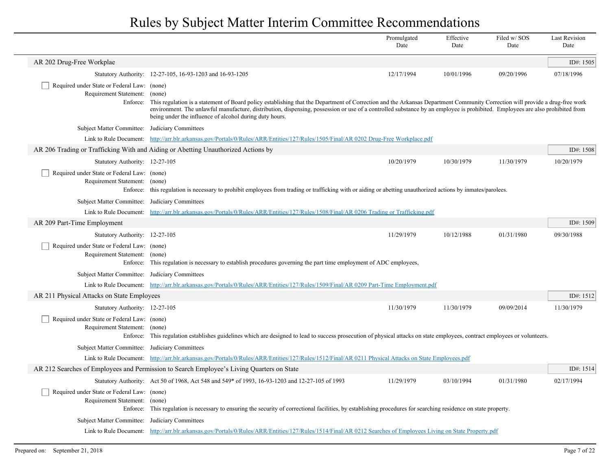|                                                                                   |                                                                                                                                                                                                                                                                                                                                                                                                                                    | Promulgated<br>Date | Effective<br>Date | Filed w/SOS<br>Date | <b>Last Revision</b><br>Date |
|-----------------------------------------------------------------------------------|------------------------------------------------------------------------------------------------------------------------------------------------------------------------------------------------------------------------------------------------------------------------------------------------------------------------------------------------------------------------------------------------------------------------------------|---------------------|-------------------|---------------------|------------------------------|
| AR 202 Drug-Free Workplae                                                         |                                                                                                                                                                                                                                                                                                                                                                                                                                    |                     |                   |                     | ID#: 1505                    |
|                                                                                   | Statutory Authority: 12-27-105, 16-93-1203 and 16-93-1205                                                                                                                                                                                                                                                                                                                                                                          | 12/17/1994          | 10/01/1996        | 09/20/1996          | 07/18/1996                   |
| Required under State or Federal Law: (none)<br>Requirement Statement:<br>Enforce: | (none)<br>This regulation is a statement of Board policy establishing that the Department of Correction and the Arkansas Department Community Correction will provide a drug-free work<br>environment. The unlawful manufacture, distribution, dispensing, possession or use of a controlled substance by an employee is prohibited. Employees are also prohibited from<br>being under the influence of alcohol during duty hours. |                     |                   |                     |                              |
| Subject Matter Committee: Judiciary Committees                                    |                                                                                                                                                                                                                                                                                                                                                                                                                                    |                     |                   |                     |                              |
|                                                                                   | Link to Rule Document: http://arr.blr.arkansas.gov/Portals/0/Rules/ARR/Entities/127/Rules/1505/Final/AR 0202 Drug-Free Workplace.pdf                                                                                                                                                                                                                                                                                               |                     |                   |                     |                              |
|                                                                                   | AR 206 Trading or Trafficking With and Aiding or Abetting Unauthorized Actions by                                                                                                                                                                                                                                                                                                                                                  |                     |                   |                     | ID#: 1508                    |
| Statutory Authority: 12-27-105                                                    |                                                                                                                                                                                                                                                                                                                                                                                                                                    | 10/20/1979          | 10/30/1979        | 11/30/1979          | 10/20/1979                   |
| Required under State or Federal Law: (none)<br>Requirement Statement: (none)      | Enforce: this regulation is necessary to prohibit employees from trading or trafficking with or aiding or abetting unauthorized actions by inmates/parolees.                                                                                                                                                                                                                                                                       |                     |                   |                     |                              |
| Subject Matter Committee: Judiciary Committees                                    |                                                                                                                                                                                                                                                                                                                                                                                                                                    |                     |                   |                     |                              |
|                                                                                   | Link to Rule Document: http://arr.blr.arkansas.gov/Portals/0/Rules/ARR/Entities/127/Rules/1508/Final/AR 0206 Trading or Trafficking.pdf                                                                                                                                                                                                                                                                                            |                     |                   |                     |                              |
| AR 209 Part-Time Employment                                                       |                                                                                                                                                                                                                                                                                                                                                                                                                                    |                     |                   |                     | ID#: 1509                    |
| Statutory Authority: 12-27-105                                                    |                                                                                                                                                                                                                                                                                                                                                                                                                                    | 11/29/1979          | 10/12/1988        | 01/31/1980          | 09/30/1988                   |
| Required under State or Federal Law: (none)<br>Requirement Statement: (none)      | Enforce: This regulation is necessary to establish procedures governing the part time employment of ADC employees,                                                                                                                                                                                                                                                                                                                 |                     |                   |                     |                              |
| Subject Matter Committee: Judiciary Committees                                    |                                                                                                                                                                                                                                                                                                                                                                                                                                    |                     |                   |                     |                              |
|                                                                                   | Link to Rule Document: http://arr.blr.arkansas.gov/Portals/0/Rules/ARR/Entities/127/Rules/1509/Final/AR 0209 Part-Time Employment.pdf                                                                                                                                                                                                                                                                                              |                     |                   |                     |                              |
| AR 211 Physical Attacks on State Employees                                        |                                                                                                                                                                                                                                                                                                                                                                                                                                    |                     |                   |                     | ID#: 1512                    |
| Statutory Authority: 12-27-105                                                    |                                                                                                                                                                                                                                                                                                                                                                                                                                    | 11/30/1979          | 11/30/1979        | 09/09/2014          | 11/30/1979                   |
| Required under State or Federal Law: (none)<br>Requirement Statement: (none)      | Enforce: This regulation establishes guidelines which are designed to lead to success prosecution of physical attacks on state employees, contract employees or volunteers.                                                                                                                                                                                                                                                        |                     |                   |                     |                              |
| Subject Matter Committee: Judiciary Committees                                    |                                                                                                                                                                                                                                                                                                                                                                                                                                    |                     |                   |                     |                              |
|                                                                                   | Link to Rule Document: http://arr.blr.arkansas.gov/Portals/0/Rules/ARR/Entities/127/Rules/1512/Final/AR 0211 Physical Attacks on State Employees.pdf                                                                                                                                                                                                                                                                               |                     |                   |                     |                              |
|                                                                                   | AR 212 Searches of Employees and Permission to Search Employee's Living Quarters on State                                                                                                                                                                                                                                                                                                                                          |                     |                   |                     | ID#: 1514                    |
|                                                                                   | Statutory Authority: Act 50 of 1968, Act 548 and 549* of 1993, 16-93-1203 and 12-27-105 of 1993                                                                                                                                                                                                                                                                                                                                    | 11/29/1979          | 03/10/1994        | 01/31/1980          | 02/17/1994                   |
| Required under State or Federal Law: (none)<br>Requirement Statement: (none)      | Enforce: This regulation is necessary to ensuring the security of correctional facilities, by establishing procedures for searching residence on state property.                                                                                                                                                                                                                                                                   |                     |                   |                     |                              |
| Subject Matter Committee: Judiciary Committees                                    |                                                                                                                                                                                                                                                                                                                                                                                                                                    |                     |                   |                     |                              |
|                                                                                   | Link to Rule Document: http://arr.blr.arkansas.gov/Portals/0/Rules/ARR/Entities/127/Rules/1514/Final/AR 0212 Searches of Employees Living on State Property.pdf                                                                                                                                                                                                                                                                    |                     |                   |                     |                              |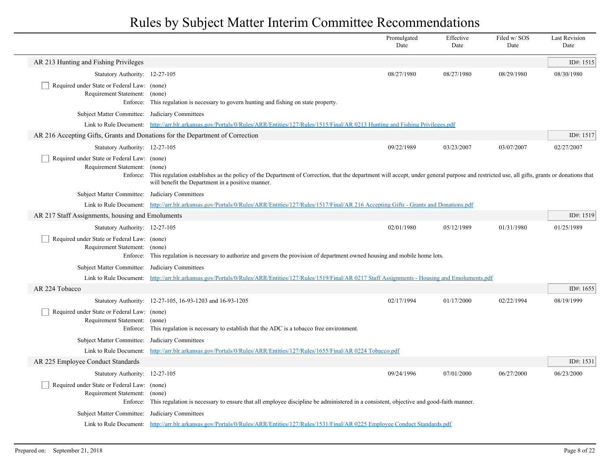|                                                                                          |                                                                                                                                                                                                                                                          | Promulgated<br>Date | Effective<br>Date | Filed w/SOS<br>Date | <b>Last Revision</b><br>Date |
|------------------------------------------------------------------------------------------|----------------------------------------------------------------------------------------------------------------------------------------------------------------------------------------------------------------------------------------------------------|---------------------|-------------------|---------------------|------------------------------|
| AR 213 Hunting and Fishing Privileges                                                    |                                                                                                                                                                                                                                                          |                     |                   |                     | ID#: 1515                    |
| Statutory Authority: 12-27-105                                                           |                                                                                                                                                                                                                                                          | 08/27/1980          | 08/27/1980        | 08/29/1980          | 08/30/1980                   |
| Required under State or Federal Law: (none)<br>Requirement Statement: (none)<br>Enforce: | This regulation is necessary to govern hunting and fishing on state property.                                                                                                                                                                            |                     |                   |                     |                              |
| Subject Matter Committee:                                                                | Judiciary Committees                                                                                                                                                                                                                                     |                     |                   |                     |                              |
|                                                                                          | Link to Rule Document: http://arr.blr.arkansas.gov/Portals/0/Rules/ARR/Entities/127/Rules/1515/Final/AR 0213 Hunting and Fishing Privileges.pdf                                                                                                          |                     |                   |                     |                              |
| AR 216 Accepting Gifts, Grants and Donations for the Department of Correction            |                                                                                                                                                                                                                                                          |                     |                   |                     | ID#: 1517                    |
| Statutory Authority: 12-27-105                                                           |                                                                                                                                                                                                                                                          | 09/22/1989          | 03/23/2007        | 03/07/2007          | 02/27/2007                   |
| Required under State or Federal Law: (none)<br>Requirement Statement:<br>Enforce:        | (none)<br>This regulation establishes as the policy of the Department of Correction, that the department will accept, under general purpose and restricted use, all gifts, grants or donations that<br>will benefit the Department in a positive manner. |                     |                   |                     |                              |
| Subject Matter Committee: Judiciary Committees                                           |                                                                                                                                                                                                                                                          |                     |                   |                     |                              |
|                                                                                          | Link to Rule Document: http://arr.blr.arkansas.gov/Portals/0/Rules/ARR/Entities/127/Rules/1517/Final/AR 216 Accepting Gifts - Grants and Donations.pdf                                                                                                   |                     |                   |                     |                              |
| AR 217 Staff Assignments, housing and Emoluments                                         |                                                                                                                                                                                                                                                          |                     |                   |                     | ID#: 1519                    |
| Statutory Authority: 12-27-105                                                           |                                                                                                                                                                                                                                                          | 02/01/1980          | 05/12/1989        | 01/31/1980          | 01/25/1989                   |
| Required under State or Federal Law: (none)<br>Requirement Statement: (none)<br>Enforce: | This regulation is necessary to authorize and govern the provision of department owned housing and mobile home lots.                                                                                                                                     |                     |                   |                     |                              |
| Subject Matter Committee: Judiciary Committees                                           |                                                                                                                                                                                                                                                          |                     |                   |                     |                              |
|                                                                                          | Link to Rule Document: http://arr.blr.arkansas.gov/Portals/0/Rules/ARR/Entities/127/Rules/1519/Final/AR 0217 Staff Assignments - Housing and Emoluments.pdf                                                                                              |                     |                   |                     |                              |
| AR 224 Tobacco                                                                           |                                                                                                                                                                                                                                                          |                     |                   |                     | ID#: $1655$                  |
|                                                                                          | Statutory Authority: 12-27-105, 16-93-1203 and 16-93-1205                                                                                                                                                                                                | 02/17/1994          | 01/17/2000        | 02/22/1994          | 08/19/1999                   |
| Required under State or Federal Law: (none)<br>Requirement Statement:                    | (none)<br>Enforce: This regulation is necessary to establish that the ADC is a tobacco free environment.                                                                                                                                                 |                     |                   |                     |                              |
| Subject Matter Committee: Judiciary Committees                                           |                                                                                                                                                                                                                                                          |                     |                   |                     |                              |
| Link to Rule Document:                                                                   | http://arr.blr.arkansas.gov/Portals/0/Rules/ARR/Entities/127/Rules/1655/Final/AR 0224 Tobacco.pdf                                                                                                                                                        |                     |                   |                     |                              |
| AR 225 Employee Conduct Standards                                                        |                                                                                                                                                                                                                                                          |                     |                   |                     | ID#: 1531                    |
| Statutory Authority: 12-27-105                                                           |                                                                                                                                                                                                                                                          | 09/24/1996          | 07/01/2000        | 06/27/2000          | 06/23/2000                   |
| Required under State or Federal Law: (none)<br>Requirement Statement:<br>Enforce:        | (none)<br>This regulation is necessary to ensure that all employee discipline be administered in a consistent, objective and good-faith manner.                                                                                                          |                     |                   |                     |                              |
| Subject Matter Committee: Judiciary Committees                                           |                                                                                                                                                                                                                                                          |                     |                   |                     |                              |
|                                                                                          | Link to Rule Document: http://arr.blr.arkansas.gov/Portals/0/Rules/ARR/Entities/127/Rules/1531/Final/AR 0225 Employee Conduct Standards.pdf                                                                                                              |                     |                   |                     |                              |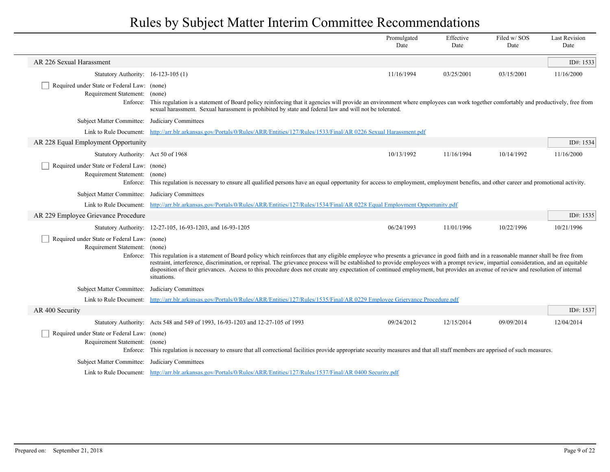|                                                                                          |                                                                                                                                                                                                                                                                                                                                                                                                                                                                                                                                                                          | Promulgated<br>Date | Effective<br>Date | Filed w/SOS<br>Date | <b>Last Revision</b><br>Date |
|------------------------------------------------------------------------------------------|--------------------------------------------------------------------------------------------------------------------------------------------------------------------------------------------------------------------------------------------------------------------------------------------------------------------------------------------------------------------------------------------------------------------------------------------------------------------------------------------------------------------------------------------------------------------------|---------------------|-------------------|---------------------|------------------------------|
| AR 226 Sexual Harassment                                                                 |                                                                                                                                                                                                                                                                                                                                                                                                                                                                                                                                                                          |                     |                   |                     | ID#: $1533$                  |
| Statutory Authority: 16-123-105 (1)                                                      |                                                                                                                                                                                                                                                                                                                                                                                                                                                                                                                                                                          | 11/16/1994          | 03/25/2001        | 03/15/2001          | 11/16/2000                   |
| Required under State or Federal Law: (none)<br>Requirement Statement:                    | (none)<br>Enforce: This regulation is a statement of Board policy reinforcing that it agencies will provide an environment where employees can work together comfortably and productively, free from<br>sexual harassment. Sexual harassment is prohibited by state and federal law and will not be tolerated.                                                                                                                                                                                                                                                           |                     |                   |                     |                              |
| Subject Matter Committee: Judiciary Committees                                           |                                                                                                                                                                                                                                                                                                                                                                                                                                                                                                                                                                          |                     |                   |                     |                              |
|                                                                                          | Link to Rule Document: http://arr.blr.arkansas.gov/Portals/0/Rules/ARR/Entities/127/Rules/1533/Final/AR 0226 Sexual Harassment.pdf                                                                                                                                                                                                                                                                                                                                                                                                                                       |                     |                   |                     |                              |
| AR 228 Equal Employment Opportunity                                                      |                                                                                                                                                                                                                                                                                                                                                                                                                                                                                                                                                                          |                     |                   |                     | ID#: 1534                    |
| Statutory Authority: Act 50 of 1968                                                      |                                                                                                                                                                                                                                                                                                                                                                                                                                                                                                                                                                          | 10/13/1992          | 11/16/1994        | 10/14/1992          | 11/16/2000                   |
| Required under State or Federal Law: (none)<br>Requirement Statement: (none)             | Enforce: This regulation is necessary to ensure all qualified persons have an equal opportunity for access to employment, employment benefits, and other career and promotional activity.                                                                                                                                                                                                                                                                                                                                                                                |                     |                   |                     |                              |
| Subject Matter Committee: Judiciary Committees                                           |                                                                                                                                                                                                                                                                                                                                                                                                                                                                                                                                                                          |                     |                   |                     |                              |
|                                                                                          | Link to Rule Document: http://arr.blr.arkansas.gov/Portals/0/Rules/ARR/Entities/127/Rules/1534/Final/AR 0228 Equal Employment Opportunity.pdf                                                                                                                                                                                                                                                                                                                                                                                                                            |                     |                   |                     |                              |
| AR 229 Employee Grievance Procedure                                                      |                                                                                                                                                                                                                                                                                                                                                                                                                                                                                                                                                                          |                     |                   |                     | ID#: $1535$                  |
|                                                                                          | Statutory Authority: 12-27-105, 16-93-1203, and 16-93-1205                                                                                                                                                                                                                                                                                                                                                                                                                                                                                                               | 06/24/1993          | 11/01/1996        | 10/22/1996          | 10/21/1996                   |
| Required under State or Federal Law: (none)<br>Requirement Statement: (none)<br>Enforce: | This regulation is a statement of Board policy which reinforces that any eligible employee who presents a grievance in good faith and in a reasonable manner shall be free from<br>restraint, interference, discrimination, or reprisal. The grievance process will be established to provide employees with a prompt review, impartial consideration, and an equitable<br>disposition of their grievances. Access to this procedure does not create any expectation of continued employment, but provides an avenue of review and resolution of internal<br>situations. |                     |                   |                     |                              |
| Subject Matter Committee: Judiciary Committees                                           |                                                                                                                                                                                                                                                                                                                                                                                                                                                                                                                                                                          |                     |                   |                     |                              |
|                                                                                          | Link to Rule Document: http://arr.blr.arkansas.gov/Portals/0/Rules/ARR/Entities/127/Rules/1535/Final/AR 0229 Employee Griervance Procedure.pdf                                                                                                                                                                                                                                                                                                                                                                                                                           |                     |                   |                     |                              |
| AR 400 Security                                                                          |                                                                                                                                                                                                                                                                                                                                                                                                                                                                                                                                                                          |                     |                   |                     | ID#: 1537                    |
|                                                                                          | Statutory Authority: Acts 548 and 549 of 1993, 16-93-1203 and 12-27-105 of 1993                                                                                                                                                                                                                                                                                                                                                                                                                                                                                          | 09/24/2012          | 12/15/2014        | 09/09/2014          | 12/04/2014                   |
| Required under State or Federal Law: (none)<br>Requirement Statement:                    | (none)<br>Enforce: This regulation is necessary to ensure that all correctional facilities provide appropriate security measures and that all staff members are apprised of such measures.                                                                                                                                                                                                                                                                                                                                                                               |                     |                   |                     |                              |
| Subject Matter Committee: Judiciary Committees                                           |                                                                                                                                                                                                                                                                                                                                                                                                                                                                                                                                                                          |                     |                   |                     |                              |
|                                                                                          | Link to Rule Document: http://arr.blr.arkansas.gov/Portals/0/Rules/ARR/Entities/127/Rules/1537/Final/AR 0400 Security.pdf                                                                                                                                                                                                                                                                                                                                                                                                                                                |                     |                   |                     |                              |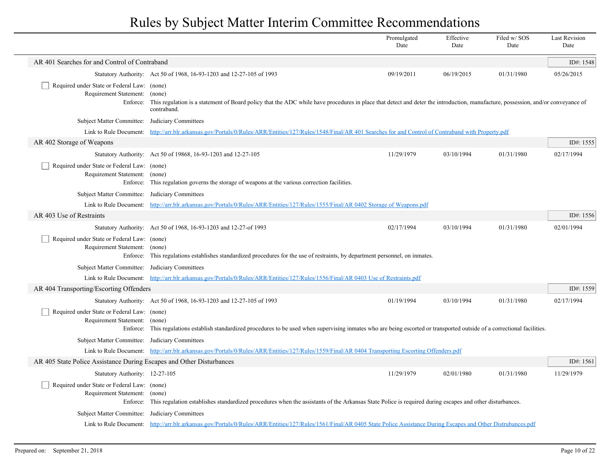|                                                                                          |                                                                                                                                                                                                           | Promulgated<br>Date | Effective<br>Date | Filed w/SOS<br>Date | <b>Last Revision</b><br>Date |
|------------------------------------------------------------------------------------------|-----------------------------------------------------------------------------------------------------------------------------------------------------------------------------------------------------------|---------------------|-------------------|---------------------|------------------------------|
| AR 401 Searches for and Control of Contraband                                            |                                                                                                                                                                                                           |                     |                   |                     | ID#: 1548                    |
|                                                                                          | Statutory Authority: Act 50 of 1968, 16-93-1203 and 12-27-105 of 1993                                                                                                                                     | 09/19/2011          | 06/19/2015        | 01/31/1980          | 05/26/2015                   |
| Required under State or Federal Law: (none)<br>Requirement Statement:<br>Enforce:        | (none)<br>This regulation is a statement of Board policy that the ADC while have procedures in place that detect and deter the introduction, manufacture, possession, and/or conveyance of<br>contraband. |                     |                   |                     |                              |
| <b>Subject Matter Committee:</b>                                                         | Judiciary Committees                                                                                                                                                                                      |                     |                   |                     |                              |
| Link to Rule Document:                                                                   | http://arr.blr.arkansas.gov/Portals/0/Rules/ARR/Entities/127/Rules/1548/Final/AR 401 Searches for and Control of Contraband with Property.pdf                                                             |                     |                   |                     |                              |
| AR 402 Storage of Weapons                                                                |                                                                                                                                                                                                           |                     |                   |                     | ID#: 1555                    |
|                                                                                          | Statutory Authority: Act 50 of 19868, 16-93-1203 and 12-27-105                                                                                                                                            | 11/29/1979          | 03/10/1994        | 01/31/1980          | 02/17/1994                   |
| Required under State or Federal Law: (none)<br>Requirement Statement: (none)<br>Enforce: | This regulation governs the storage of weapons at the various correction facilities.                                                                                                                      |                     |                   |                     |                              |
| Subject Matter Committee:                                                                | Judiciary Committees                                                                                                                                                                                      |                     |                   |                     |                              |
|                                                                                          | Link to Rule Document: http://arr.blr.arkansas.gov/Portals/0/Rules/ARR/Entities/127/Rules/1555/Final/AR 0402 Storage of Weapons.pdf                                                                       |                     |                   |                     |                              |
| AR 403 Use of Restraints                                                                 |                                                                                                                                                                                                           |                     |                   |                     | ID#: 1556                    |
|                                                                                          | Statutory Authority: Act 50 of 1968, 16-93-1203 and 12-27-of 1993                                                                                                                                         | 02/17/1994          | 03/10/1994        | 01/31/1980          | 02/01/1994                   |
| Required under State or Federal Law: (none)<br>Requirement Statement:                    | (none)<br>Enforce: This regulations establishes standardized procedures for the use of restraints, by department personnel, on inmates.                                                                   |                     |                   |                     |                              |
| Subject Matter Committee: Judiciary Committees                                           |                                                                                                                                                                                                           |                     |                   |                     |                              |
|                                                                                          | Link to Rule Document: http://arr.blr.arkansas.gov/Portals/0/Rules/ARR/Entities/127/Rules/1556/Final/AR 0403 Use of Restraints.pdf                                                                        |                     |                   |                     |                              |
| AR 404 Transporting/Escorting Offenders                                                  |                                                                                                                                                                                                           |                     |                   |                     | ID#: 1559                    |
|                                                                                          | Statutory Authority: Act 50 of 1968, 16-93-1203 and 12-27-105 of 1993                                                                                                                                     | 01/19/1994          | 03/10/1994        | 01/31/1980          | 02/17/1994                   |
| Required under State or Federal Law: (none)<br>Requirement Statement:                    | (none)<br>Enforce: This regulations establish standardized procedures to be used when supervising inmates who are being escorted or transported outside of a correctional facilities.                     |                     |                   |                     |                              |
| Subject Matter Committee: Judiciary Committees                                           |                                                                                                                                                                                                           |                     |                   |                     |                              |
|                                                                                          | Link to Rule Document: http://arr.blr.arkansas.gov/Portals/0/Rules/ARR/Entities/127/Rules/1559/Final/AR 0404 Transporting Escorting Offenders.pdf                                                         |                     |                   |                     |                              |
| AR 405 State Police Assistance During Escapes and Other Disturbances                     |                                                                                                                                                                                                           |                     |                   |                     | ID#: 1561                    |
| Statutory Authority: 12-27-105                                                           |                                                                                                                                                                                                           | 11/29/1979          | 02/01/1980        | 01/31/1980          | 11/29/1979                   |
| Required under State or Federal Law: (none)<br>Requirement Statement:                    | (none)<br>Enforce: This regulation establishes standardized procedures when the assistants of the Arkansas State Police is required during escapes and other disturbances.                                |                     |                   |                     |                              |
| <b>Subject Matter Committee:</b>                                                         | Judiciary Committees                                                                                                                                                                                      |                     |                   |                     |                              |
|                                                                                          | Link to Rule Document: http://arr.blr.arkansas.gov/Portals/0/Rules/ARR/Entities/127/Rules/1561/Final/AR 0405 State Police Assistance During Escapes and Other Distrubances.pdf                            |                     |                   |                     |                              |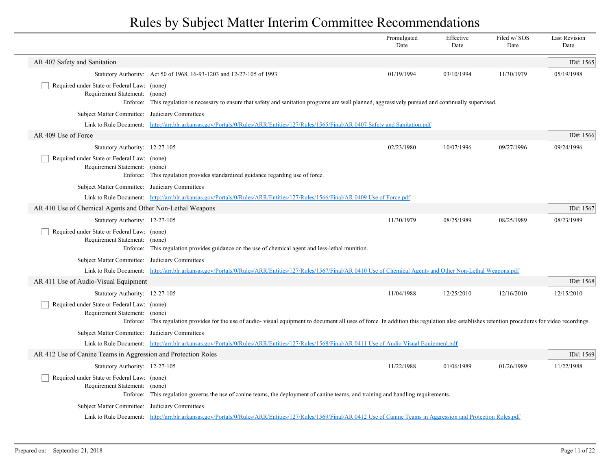|                                                                                                                |                                                                                                                                                                                                | Promulgated<br>Date | Effective<br>Date | Filed w/SOS<br>Date | <b>Last Revision</b><br>Date |
|----------------------------------------------------------------------------------------------------------------|------------------------------------------------------------------------------------------------------------------------------------------------------------------------------------------------|---------------------|-------------------|---------------------|------------------------------|
| AR 407 Safety and Sanitation                                                                                   |                                                                                                                                                                                                |                     |                   |                     | ID#: $1565$                  |
|                                                                                                                | Statutory Authority: Act 50 of 1968, 16-93-1203 and 12-27-105 of 1993                                                                                                                          | 01/19/1994          | 03/10/1994        | 11/30/1979          | 05/19/1988                   |
| Required under State or Federal Law: (none)<br>Requirement Statement: (none)<br>Enforce:                       | This regulation is necessary to ensure that safety and sanitation programs are well planned, aggressively pursued and continually supervised.                                                  |                     |                   |                     |                              |
| Subject Matter Committee: Judiciary Committees                                                                 |                                                                                                                                                                                                |                     |                   |                     |                              |
|                                                                                                                | Link to Rule Document: http://arr.blr.arkansas.gov/Portals/0/Rules/ARR/Entities/127/Rules/1565/Final/AR 0407 Safety and Sanitation.pdf                                                         |                     |                   |                     |                              |
| AR 409 Use of Force                                                                                            |                                                                                                                                                                                                |                     |                   |                     | ID#: $1566$                  |
| Statutory Authority: 12-27-105                                                                                 |                                                                                                                                                                                                | 02/23/1980          | 10/07/1996        | 09/27/1996          | 09/24/1996                   |
| Required under State or Federal Law: (none)<br>Requirement Statement: (none)                                   | Enforce: This regulation provides standardized guidance regarding use of force.                                                                                                                |                     |                   |                     |                              |
| Subject Matter Committee: Judiciary Committees                                                                 |                                                                                                                                                                                                |                     |                   |                     |                              |
|                                                                                                                | Link to Rule Document: http://arr.blr.arkansas.gov/Portals/0/Rules/ARR/Entities/127/Rules/1566/Final/AR 0409 Use of Force.pdf                                                                  |                     |                   |                     |                              |
| AR 410 Use of Chemical Agents and Other Non-Lethal Weapons                                                     |                                                                                                                                                                                                |                     |                   |                     | ID#: 1567                    |
| Statutory Authority: 12-27-105<br>Required under State or Federal Law: (none)<br>Requirement Statement: (none) | Enforce: This regulation provides guidance on the use of chemical agent and less-lethal munition.                                                                                              | 11/30/1979          | 08/25/1989        | 08/25/1989          | 08/23/1989                   |
| Subject Matter Committee: Judiciary Committees                                                                 |                                                                                                                                                                                                |                     |                   |                     |                              |
|                                                                                                                | Link to Rule Document: http://arr.blr.arkansas.gov/Portals/0/Rules/ARR/Entities/127/Rules/1567/Final/AR 0410 Use of Chemical Agents and Other Non-Lethal Weapons.pdf                           |                     |                   |                     |                              |
| AR 411 Use of Audio-Visual Equipment                                                                           |                                                                                                                                                                                                |                     |                   |                     | ID#: 1568                    |
| Statutory Authority: 12-27-105                                                                                 |                                                                                                                                                                                                | 11/04/1988          | 12/25/2010        | 12/16/2010          | 12/15/2010                   |
| Required under State or Federal Law: (none)<br>Requirement Statement: (none)                                   | Enforce: This regulation provides for the use of audio-visual equipment to document all uses of force. In addition this regulation also establishes retention procedures for video recordings. |                     |                   |                     |                              |
| Subject Matter Committee: Judiciary Committees                                                                 |                                                                                                                                                                                                |                     |                   |                     |                              |
|                                                                                                                | Link to Rule Document: http://arr.blr.arkansas.gov/Portals/0/Rules/ARR/Entities/127/Rules/1568/Final/AR 0411 Use of Audio Visual Equipmenl.pdf                                                 |                     |                   |                     |                              |
| AR 412 Use of Canine Teams in Aggression and Protection Roles                                                  |                                                                                                                                                                                                |                     |                   |                     | ID#: 1569                    |
| Statutory Authority: 12-27-105                                                                                 |                                                                                                                                                                                                | 11/22/1988          | 01/06/1989        | 01/26/1989          | 11/22/1988                   |
| Required under State or Federal Law: (none)<br>Requirement Statement: (none)                                   | Enforce: This regulation governs the use of canine teams, the deployment of canine teams, and training and handling requirements.                                                              |                     |                   |                     |                              |
| Subject Matter Committee: Judiciary Committees                                                                 |                                                                                                                                                                                                |                     |                   |                     |                              |
|                                                                                                                | Link to Rule Document: http://arr.blr.arkansas.gov/Portals/0/Rules/ARR/Entities/127/Rules/1569/Final/AR 0412 Use of Canine Teams in Aggression and Protection Roles.pdf                        |                     |                   |                     |                              |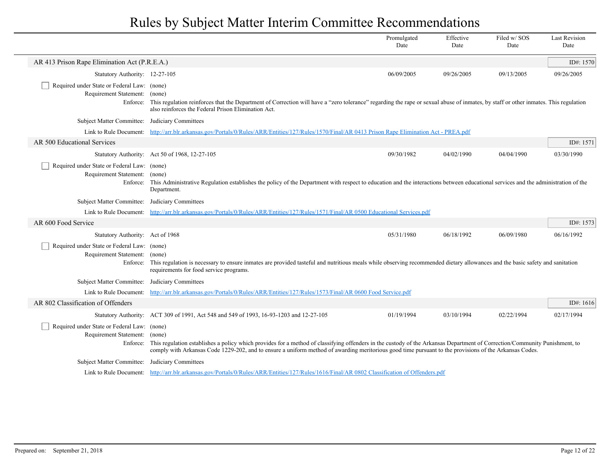|                                                                                          |                                                                                                                                                                                                                                                                                                                                                         | Promulgated<br>Date | Effective<br>Date | Filed w/SOS<br>Date | <b>Last Revision</b><br>Date |
|------------------------------------------------------------------------------------------|---------------------------------------------------------------------------------------------------------------------------------------------------------------------------------------------------------------------------------------------------------------------------------------------------------------------------------------------------------|---------------------|-------------------|---------------------|------------------------------|
| AR 413 Prison Rape Elimination Act (P.R.E.A.)                                            |                                                                                                                                                                                                                                                                                                                                                         |                     |                   |                     | ID#: 1570                    |
| Statutory Authority: 12-27-105                                                           |                                                                                                                                                                                                                                                                                                                                                         | 06/09/2005          | 09/26/2005        | 09/13/2005          | 09/26/2005                   |
| Required under State or Federal Law: (none)<br>Requirement Statement: (none)<br>Enforce: | This regulation reinforces that the Department of Correction will have a "zero tolerance" regarding the rape or sexual abuse of inmates, by staff or other inmates. This regulation<br>also reinforces the Federal Prison Elimination Act.                                                                                                              |                     |                   |                     |                              |
| Subject Matter Committee: Judiciary Committees                                           |                                                                                                                                                                                                                                                                                                                                                         |                     |                   |                     |                              |
|                                                                                          | Link to Rule Document: http://arr.blr.arkansas.gov/Portals/0/Rules/ARR/Entities/127/Rules/1570/Final/AR 0413 Prison Rape Elimination Act - PREA.pdf                                                                                                                                                                                                     |                     |                   |                     |                              |
| AR 500 Educational Services                                                              |                                                                                                                                                                                                                                                                                                                                                         |                     |                   |                     | ID#: $1571$                  |
|                                                                                          | Statutory Authority: Act 50 of 1968, 12-27-105                                                                                                                                                                                                                                                                                                          | 09/30/1982          | 04/02/1990        | 04/04/1990          | 03/30/1990                   |
| Required under State or Federal Law: (none)<br>Requirement Statement: (none)             | Enforce: This Administrative Regulation establishes the policy of the Department with respect to education and the interactions between educational services and the administration of the<br>Department.                                                                                                                                               |                     |                   |                     |                              |
| Subject Matter Committee: Judiciary Committees                                           |                                                                                                                                                                                                                                                                                                                                                         |                     |                   |                     |                              |
|                                                                                          | Link to Rule Document: http://arr.blr.arkansas.gov/Portals/0/Rules/ARR/Entities/127/Rules/1571/Final/AR 0500 Educational Services.pdf                                                                                                                                                                                                                   |                     |                   |                     |                              |
| AR 600 Food Service                                                                      |                                                                                                                                                                                                                                                                                                                                                         |                     |                   |                     | ID#: $1573$                  |
| Statutory Authority: Act of 1968                                                         |                                                                                                                                                                                                                                                                                                                                                         | 05/31/1980          | 06/18/1992        | 06/09/1980          | 06/16/1992                   |
| Required under State or Federal Law: (none)<br>Requirement Statement:                    | (none)<br>Enforce: This regulation is necessary to ensure inmates are provided tasteful and nutritious meals while observing recommended dietary allowances and the basic safety and sanitation<br>requirements for food service programs.                                                                                                              |                     |                   |                     |                              |
| Subject Matter Committee: Judiciary Committees                                           |                                                                                                                                                                                                                                                                                                                                                         |                     |                   |                     |                              |
|                                                                                          | Link to Rule Document: http://arr.blr.arkansas.gov/Portals/0/Rules/ARR/Entities/127/Rules/1573/Final/AR 0600 Food Service.pdf                                                                                                                                                                                                                           |                     |                   |                     |                              |
| AR 802 Classification of Offenders                                                       |                                                                                                                                                                                                                                                                                                                                                         |                     |                   |                     | ID#: $1616$                  |
|                                                                                          | Statutory Authority: ACT 309 of 1991, Act 548 and 549 of 1993, 16-93-1203 and 12-27-105                                                                                                                                                                                                                                                                 | 01/19/1994          | 03/10/1994        | 02/22/1994          | 02/17/1994                   |
| Required under State or Federal Law: (none)<br>Requirement Statement:                    | (none)<br>Enforce: This regulation establishes a policy which provides for a method of classifying offenders in the custody of the Arkansas Department of Correction/Community Punishment, to<br>comply with Arkansas Code 1229-202, and to ensure a uniform method of awarding meritorious good time pursuant to the provisions of the Arkansas Codes. |                     |                   |                     |                              |
| Subject Matter Committee: Judiciary Committees                                           |                                                                                                                                                                                                                                                                                                                                                         |                     |                   |                     |                              |
|                                                                                          | Link to Rule Document: http://arr.blr.arkansas.gov/Portals/0/Rules/ARR/Entities/127/Rules/1616/Final/AR 0802 Classification of Offenders.pdf                                                                                                                                                                                                            |                     |                   |                     |                              |

 $\overline{\phantom{a}}$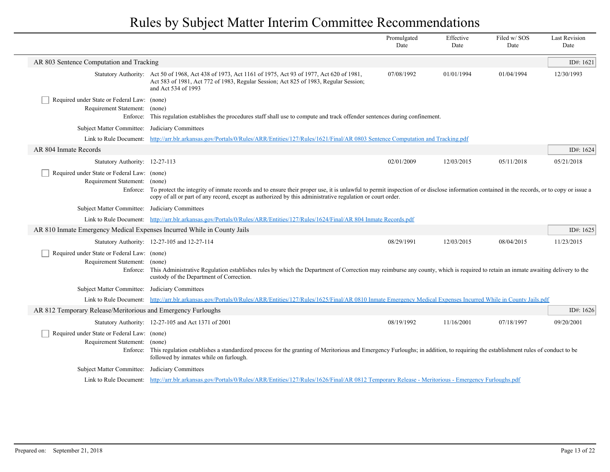|                                                                                          |                                                                                                                                                                                                                                                                                                                           | Promulgated<br>Date | Effective<br>Date | Filed w/SOS<br>Date | <b>Last Revision</b><br>Date |
|------------------------------------------------------------------------------------------|---------------------------------------------------------------------------------------------------------------------------------------------------------------------------------------------------------------------------------------------------------------------------------------------------------------------------|---------------------|-------------------|---------------------|------------------------------|
| AR 803 Sentence Computation and Tracking                                                 |                                                                                                                                                                                                                                                                                                                           |                     |                   |                     | ID#: $1621$                  |
|                                                                                          | Statutory Authority: Act 50 of 1968, Act 438 of 1973, Act 1161 of 1975, Act 93 of 1977, Act 620 of 1981,<br>Act 583 of 1981, Act 772 of 1983, Regular Session; Act 825 of 1983, Regular Session;<br>and Act 534 of 1993                                                                                                   | 07/08/1992          | 01/01/1994        | 01/04/1994          | 12/30/1993                   |
| Required under State or Federal Law: (none)<br>Requirement Statement: (none)<br>Enforce: | This regulation establishes the procedures staff shall use to compute and track offender sentences during confinement.                                                                                                                                                                                                    |                     |                   |                     |                              |
| Subject Matter Committee:                                                                | Judiciary Committees                                                                                                                                                                                                                                                                                                      |                     |                   |                     |                              |
| Link to Rule Document:                                                                   | http://arr.blr.arkansas.gov/Portals/0/Rules/ARR/Entities/127/Rules/1621/Final/AR 0803 Sentence Computation and Tracking.pdf                                                                                                                                                                                               |                     |                   |                     |                              |
| AR 804 Inmate Records                                                                    |                                                                                                                                                                                                                                                                                                                           |                     |                   |                     | ID#: $1624$                  |
| Statutory Authority: 12-27-113                                                           |                                                                                                                                                                                                                                                                                                                           | 02/01/2009          | 12/03/2015        | 05/11/2018          | 05/21/2018                   |
| Required under State or Federal Law: (none)<br>Requirement Statement:                    | (none)<br>Enforce: To protect the integrity of inmate records and to ensure their proper use, it is unlawful to permit inspection of or disclose information contained in the records, or to copy or issue a<br>copy of all or part of any record, except as authorized by this administrative regulation or court order. |                     |                   |                     |                              |
| Subject Matter Committee: Judiciary Committees                                           |                                                                                                                                                                                                                                                                                                                           |                     |                   |                     |                              |
|                                                                                          | Link to Rule Document: http://arr.blr.arkansas.gov/Portals/0/Rules/ARR/Entities/127/Rules/1624/Final/AR 804 Inmate Records.pdf                                                                                                                                                                                            |                     |                   |                     |                              |
| AR 810 Inmate Emergency Medical Expenses Incurred While in County Jails                  |                                                                                                                                                                                                                                                                                                                           |                     |                   |                     | ID#: $1625$                  |
|                                                                                          | Statutory Authority: 12-27-105 and 12-27-114                                                                                                                                                                                                                                                                              | 08/29/1991          | 12/03/2015        | 08/04/2015          | 11/23/2015                   |
| Required under State or Federal Law: (none)<br>Requirement Statement:                    | (none)<br>Enforce: This Administrative Regulation establishes rules by which the Department of Correction may reimburse any county, which is required to retain an inmate awaiting delivery to the<br>custody of the Department of Correction.                                                                            |                     |                   |                     |                              |
| Subject Matter Committee: Judiciary Committees                                           |                                                                                                                                                                                                                                                                                                                           |                     |                   |                     |                              |
|                                                                                          | Link to Rule Document: http://arr.blr.arkansas.gov/Portals/0/Rules/ARR/Entities/127/Rules/1625/Final/AR 0810 Inmate Emergency Medical Expenses Incurred While in County Jails.pdf                                                                                                                                         |                     |                   |                     |                              |
| AR 812 Temporary Release/Meritorious and Emergency Furloughs                             |                                                                                                                                                                                                                                                                                                                           |                     |                   |                     | ID#: $1626$                  |
|                                                                                          | Statutory Authority: 12-27-105 and Act 1371 of 2001                                                                                                                                                                                                                                                                       | 08/19/1992          | 11/16/2001        | 07/18/1997          | 09/20/2001                   |
| Required under State or Federal Law: (none)<br>Requirement Statement:                    | (none)<br>Enforce: This regulation establishes a standardized process for the granting of Meritorious and Emergency Furloughs; in addition, to requiring the establishment rules of conduct to be<br>followed by inmates while on furlough.                                                                               |                     |                   |                     |                              |
| Subject Matter Committee: Judiciary Committees                                           |                                                                                                                                                                                                                                                                                                                           |                     |                   |                     |                              |
|                                                                                          | Link to Rule Document: http://arr.blr.arkansas.gov/Portals/0/Rules/ARR/Entities/127/Rules/1626/Final/AR 0812 Temporary Release - Meritorious - Emergency Furloughs.pdf                                                                                                                                                    |                     |                   |                     |                              |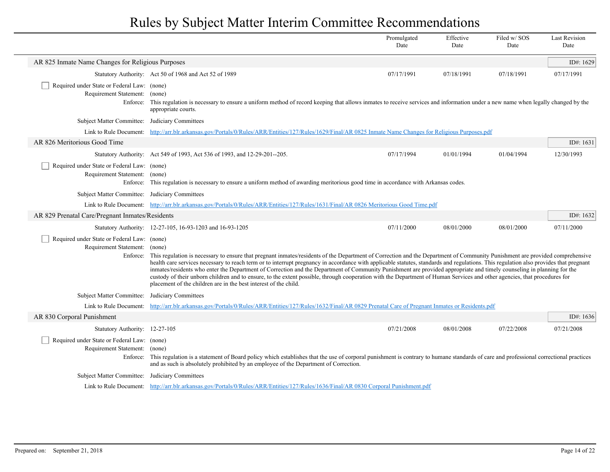|                                                                              |                                                                                                                                                                                                                                                                                                                                                                                                                                                                                                                                                                                                                                                                                                                                                                                                           | Promulgated<br>Date | Effective<br>Date | Filed w/SOS<br>Date | <b>Last Revision</b><br>Date |
|------------------------------------------------------------------------------|-----------------------------------------------------------------------------------------------------------------------------------------------------------------------------------------------------------------------------------------------------------------------------------------------------------------------------------------------------------------------------------------------------------------------------------------------------------------------------------------------------------------------------------------------------------------------------------------------------------------------------------------------------------------------------------------------------------------------------------------------------------------------------------------------------------|---------------------|-------------------|---------------------|------------------------------|
| AR 825 Inmate Name Changes for Religious Purposes                            |                                                                                                                                                                                                                                                                                                                                                                                                                                                                                                                                                                                                                                                                                                                                                                                                           |                     |                   |                     | ID#: 1629                    |
|                                                                              | Statutory Authority: Act 50 of 1968 and Act 52 of 1989                                                                                                                                                                                                                                                                                                                                                                                                                                                                                                                                                                                                                                                                                                                                                    | 07/17/1991          | 07/18/1991        | 07/18/1991          | 07/17/1991                   |
| Required under State or Federal Law: (none)<br>Requirement Statement: (none) | Enforce: This regulation is necessary to ensure a uniform method of record keeping that allows inmates to receive services and information under a new name when legally changed by the<br>appropriate courts.                                                                                                                                                                                                                                                                                                                                                                                                                                                                                                                                                                                            |                     |                   |                     |                              |
| Subject Matter Committee: Judiciary Committees                               |                                                                                                                                                                                                                                                                                                                                                                                                                                                                                                                                                                                                                                                                                                                                                                                                           |                     |                   |                     |                              |
| Link to Rule Document:                                                       | http://arr.blr.arkansas.gov/Portals/0/Rules/ARR/Entities/127/Rules/1629/Final/AR 0825 Inmate Name Changes for Religious Purposes.pdf                                                                                                                                                                                                                                                                                                                                                                                                                                                                                                                                                                                                                                                                      |                     |                   |                     |                              |
| AR 826 Meritorious Good Time                                                 |                                                                                                                                                                                                                                                                                                                                                                                                                                                                                                                                                                                                                                                                                                                                                                                                           |                     |                   |                     | ID#: 1631                    |
|                                                                              | Statutory Authority: Act 549 of 1993, Act 536 of 1993, and 12-29-201--205.                                                                                                                                                                                                                                                                                                                                                                                                                                                                                                                                                                                                                                                                                                                                | 07/17/1994          | 01/01/1994        | 01/04/1994          | 12/30/1993                   |
| Required under State or Federal Law: (none)<br>Requirement Statement: (none) | Enforce: This regulation is necessary to ensure a uniform method of awarding meritorious good time in accordance with Arkansas codes.                                                                                                                                                                                                                                                                                                                                                                                                                                                                                                                                                                                                                                                                     |                     |                   |                     |                              |
| Subject Matter Committee: Judiciary Committees                               |                                                                                                                                                                                                                                                                                                                                                                                                                                                                                                                                                                                                                                                                                                                                                                                                           |                     |                   |                     |                              |
|                                                                              | Link to Rule Document: http://arr.blr.arkansas.gov/Portals/0/Rules/ARR/Entities/127/Rules/1631/Final/AR 0826 Meritorious Good Time.pdf                                                                                                                                                                                                                                                                                                                                                                                                                                                                                                                                                                                                                                                                    |                     |                   |                     |                              |
| AR 829 Prenatal Care/Pregnant Inmates/Residents                              |                                                                                                                                                                                                                                                                                                                                                                                                                                                                                                                                                                                                                                                                                                                                                                                                           |                     |                   |                     | ID#: 1632                    |
|                                                                              | Statutory Authority: 12-27-105, 16-93-1203 and 16-93-1205                                                                                                                                                                                                                                                                                                                                                                                                                                                                                                                                                                                                                                                                                                                                                 | 07/11/2000          | 08/01/2000        | 08/01/2000          | 07/11/2000                   |
| Required under State or Federal Law: (none)<br>Requirement Statement: (none) | Enforce: This regulation is necessary to ensure that pregnant inmates/residents of the Department of Correction and the Department of Community Punishment are provided comprehensive<br>health care services necessary to reach term or to interrupt pregnancy in accordance with applicable statutes, standards and regulations. This regulation also provides that pregnant<br>inmates/residents who enter the Department of Correction and the Department of Community Punishment are provided appropriate and timely counseling in planning for the<br>custody of their unborn children and to ensure, to the extent possible, through cooperation with the Department of Human Services and other agencies, that procedures for<br>placement of the children are in the best interest of the child. |                     |                   |                     |                              |
| <b>Subject Matter Committee:</b>                                             | Judiciary Committees                                                                                                                                                                                                                                                                                                                                                                                                                                                                                                                                                                                                                                                                                                                                                                                      |                     |                   |                     |                              |
|                                                                              | Link to Rule Document: http://arr.blr.arkansas.gov/Portals/0/Rules/ARR/Entities/127/Rules/1632/Final/AR 0829 Prenatal Care of Pregnant Inmates or Residents.pdf                                                                                                                                                                                                                                                                                                                                                                                                                                                                                                                                                                                                                                           |                     |                   |                     |                              |
| AR 830 Corporal Punishment                                                   |                                                                                                                                                                                                                                                                                                                                                                                                                                                                                                                                                                                                                                                                                                                                                                                                           |                     |                   |                     | ID#: 1636                    |
| Statutory Authority: 12-27-105                                               |                                                                                                                                                                                                                                                                                                                                                                                                                                                                                                                                                                                                                                                                                                                                                                                                           | 07/21/2008          | 08/01/2008        | 07/22/2008          | 07/21/2008                   |
| Required under State or Federal Law: (none)<br>Requirement Statement: (none) | Enforce: This regulation is a statement of Board policy which establishes that the use of corporal punishment is contrary to humane standards of care and professional correctional practices<br>and as such is absolutely prohibited by an employee of the Department of Correction.                                                                                                                                                                                                                                                                                                                                                                                                                                                                                                                     |                     |                   |                     |                              |
| Subject Matter Committee: Judiciary Committees                               |                                                                                                                                                                                                                                                                                                                                                                                                                                                                                                                                                                                                                                                                                                                                                                                                           |                     |                   |                     |                              |
|                                                                              | Link to Rule Document: http://arr.blr.arkansas.gov/Portals/0/Rules/ARR/Entities/127/Rules/1636/Final/AR 0830 Corporal Punishment.pdf                                                                                                                                                                                                                                                                                                                                                                                                                                                                                                                                                                                                                                                                      |                     |                   |                     |                              |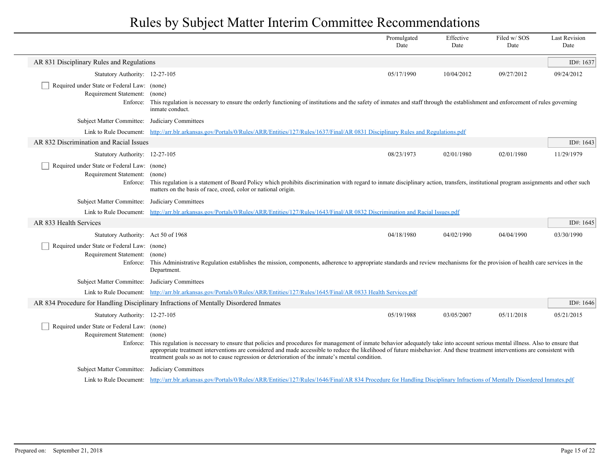|                                                                                   |                                                                                                                                                                                                                                                                                                                                                                                                                                                                              | Promulgated<br>Date | Effective<br>Date | Filed w/SOS<br>Date | <b>Last Revision</b><br>Date |
|-----------------------------------------------------------------------------------|------------------------------------------------------------------------------------------------------------------------------------------------------------------------------------------------------------------------------------------------------------------------------------------------------------------------------------------------------------------------------------------------------------------------------------------------------------------------------|---------------------|-------------------|---------------------|------------------------------|
| AR 831 Disciplinary Rules and Regulations                                         |                                                                                                                                                                                                                                                                                                                                                                                                                                                                              |                     |                   |                     | ID#: 1637                    |
| Statutory Authority: 12-27-105                                                    |                                                                                                                                                                                                                                                                                                                                                                                                                                                                              | 05/17/1990          | 10/04/2012        | 09/27/2012          | 09/24/2012                   |
| Required under State or Federal Law: (none)<br>Requirement Statement:             | (none)<br>Enforce: This regulation is necessary to ensure the orderly functioning of institutions and the safety of inmates and staff through the establishment and enforcement of rules governing<br>inmate conduct.                                                                                                                                                                                                                                                        |                     |                   |                     |                              |
| Subject Matter Committee: Judiciary Committees                                    |                                                                                                                                                                                                                                                                                                                                                                                                                                                                              |                     |                   |                     |                              |
| Link to Rule Document:                                                            | http://arr.blr.arkansas.gov/Portals/0/Rules/ARR/Entities/127/Rules/1637/Final/AR 0831 Disciplinary Rules and Regulations.pdf                                                                                                                                                                                                                                                                                                                                                 |                     |                   |                     |                              |
| AR 832 Discrimination and Racial Issues                                           |                                                                                                                                                                                                                                                                                                                                                                                                                                                                              |                     |                   |                     | ID#: $1643$                  |
| Statutory Authority: 12-27-105                                                    |                                                                                                                                                                                                                                                                                                                                                                                                                                                                              | 08/23/1973          | 02/01/1980        | 02/01/1980          | 11/29/1979                   |
| Required under State or Federal Law: (none)<br>Requirement Statement: (none)      | Enforce: This regulation is a statement of Board Policy which prohibits discrimination with regard to inmate disciplinary action, transfers, institutional program assignments and other such<br>matters on the basis of race, creed, color or national origin.                                                                                                                                                                                                              |                     |                   |                     |                              |
| Subject Matter Committee: Judiciary Committees                                    |                                                                                                                                                                                                                                                                                                                                                                                                                                                                              |                     |                   |                     |                              |
|                                                                                   | Link to Rule Document: http://arr.blr.arkansas.gov/Portals/0/Rules/ARR/Entities/127/Rules/1643/Final/AR 0832 Discrimination and Racial Issues.pdf                                                                                                                                                                                                                                                                                                                            |                     |                   |                     |                              |
| AR 833 Health Services                                                            |                                                                                                                                                                                                                                                                                                                                                                                                                                                                              |                     |                   |                     | ID#: 1645                    |
| Statutory Authority: Act 50 of 1968                                               |                                                                                                                                                                                                                                                                                                                                                                                                                                                                              | 04/18/1980          | 04/02/1990        | 04/04/1990          | 03/30/1990                   |
| Required under State or Federal Law: (none)<br>Requirement Statement: (none)      | Enforce: This Administrative Regulation establishes the mission, components, adherence to appropriate standards and review mechanisms for the provision of health care services in the<br>Department.                                                                                                                                                                                                                                                                        |                     |                   |                     |                              |
| Subject Matter Committee: Judiciary Committees                                    |                                                                                                                                                                                                                                                                                                                                                                                                                                                                              |                     |                   |                     |                              |
|                                                                                   | Link to Rule Document: http://arr.blr.arkansas.gov/Portals/0/Rules/ARR/Entities/127/Rules/1645/Final/AR 0833 Health Services.pdf                                                                                                                                                                                                                                                                                                                                             |                     |                   |                     |                              |
|                                                                                   | AR 834 Procedure for Handling Disciplinary Infractions of Mentally Disordered Inmates                                                                                                                                                                                                                                                                                                                                                                                        |                     |                   |                     | ID#: $1646$                  |
| Statutory Authority: 12-27-105                                                    |                                                                                                                                                                                                                                                                                                                                                                                                                                                                              | 05/19/1988          | 03/05/2007        | 05/11/2018          | 05/21/2015                   |
| Required under State or Federal Law: (none)<br>Requirement Statement:<br>Enforce: | (none)<br>This regulation is necessary to ensure that policies and procedures for management of inmate behavior adequately take into account serious mental illness. Also to ensure that<br>appropriate treatment interventions are considered and made accessible to reduce the likelihood of future misbehavior. And these treatment interventions are consistent with<br>treatment goals so as not to cause regression or deterioration of the inmate's mental condition. |                     |                   |                     |                              |
| Subject Matter Committee: Judiciary Committees                                    |                                                                                                                                                                                                                                                                                                                                                                                                                                                                              |                     |                   |                     |                              |
|                                                                                   | Link to Rule Document: http://arr.blr.arkansas.gov/Portals/0/Rules/ARR/Entities/127/Rules/1646/Final/AR 834 Procedure for Handling Disciplinary Infractions of Mentally Disordered Inmates.pdf                                                                                                                                                                                                                                                                               |                     |                   |                     |                              |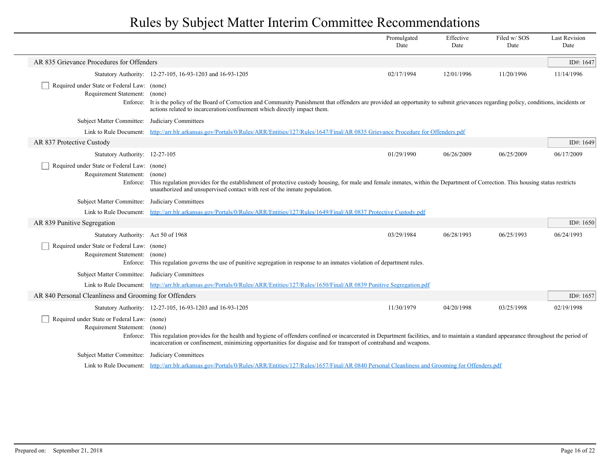|                                                                                   |                                                                                                                                                                                                                                                                                                                           | Promulgated<br>Date | Effective<br>Date | Filed w/SOS<br>Date | <b>Last Revision</b><br>Date |
|-----------------------------------------------------------------------------------|---------------------------------------------------------------------------------------------------------------------------------------------------------------------------------------------------------------------------------------------------------------------------------------------------------------------------|---------------------|-------------------|---------------------|------------------------------|
| AR 835 Grievance Procedures for Offenders                                         |                                                                                                                                                                                                                                                                                                                           |                     |                   |                     | ID#: 1647                    |
|                                                                                   | Statutory Authority: 12-27-105, 16-93-1203 and 16-93-1205                                                                                                                                                                                                                                                                 | 02/17/1994          | 12/01/1996        | 11/20/1996          | 11/14/1996                   |
| Required under State or Federal Law: (none)<br>Requirement Statement: (none)      | Enforce: It is the policy of the Board of Correction and Community Punishment that offenders are provided an opportunity to submit grievances regarding policy, conditions, incidents or<br>actions related to incarceration/confinement which directly impact them.                                                      |                     |                   |                     |                              |
| Subject Matter Committee: Judiciary Committees                                    |                                                                                                                                                                                                                                                                                                                           |                     |                   |                     |                              |
| Link to Rule Document:                                                            | http://arr.blr.arkansas.gov/Portals/0/Rules/ARR/Entities/127/Rules/1647/Final/AR 0835 Grievance Procedure for Offenders.pdf                                                                                                                                                                                               |                     |                   |                     |                              |
| AR 837 Protective Custody                                                         |                                                                                                                                                                                                                                                                                                                           |                     |                   |                     | ID#: 1649                    |
| Statutory Authority: 12-27-105                                                    |                                                                                                                                                                                                                                                                                                                           | 01/29/1990          | 06/26/2009        | 06/25/2009          | 06/17/2009                   |
| Required under State or Federal Law: (none)<br>Requirement Statement:<br>Enforce: | (none)<br>This regulation provides for the establishment of protective custody housing, for male and female inmates, within the Department of Correction. This housing status restricts<br>unauthorized and unsupervised contact with rest of the inmate population.                                                      |                     |                   |                     |                              |
| Subject Matter Committee:                                                         | Judiciary Committees                                                                                                                                                                                                                                                                                                      |                     |                   |                     |                              |
| Link to Rule Document:                                                            | http://arr.blr.arkansas.gov/Portals/0/Rules/ARR/Entities/127/Rules/1649/Final/AR 0837 Protective Custody.pdf                                                                                                                                                                                                              |                     |                   |                     |                              |
| AR 839 Punitive Segregation                                                       |                                                                                                                                                                                                                                                                                                                           |                     |                   |                     | ID#: $1650$                  |
| Statutory Authority: Act 50 of 1968                                               |                                                                                                                                                                                                                                                                                                                           | 03/29/1984          | 06/28/1993        | 06/25/1993          | 06/24/1993                   |
| Required under State or Federal Law: (none)<br>Requirement Statement: (none)      | Enforce: This regulation governs the use of punitive segregation in response to an inmates violation of department rules.                                                                                                                                                                                                 |                     |                   |                     |                              |
| Subject Matter Committee: Judiciary Committees                                    |                                                                                                                                                                                                                                                                                                                           |                     |                   |                     |                              |
|                                                                                   | Link to Rule Document: http://arr.blr.arkansas.gov/Portals/0/Rules/ARR/Entities/127/Rules/1650/Final/AR 0839 Punitive Segregation.pdf                                                                                                                                                                                     |                     |                   |                     |                              |
| AR 840 Personal Cleanliness and Grooming for Offenders                            |                                                                                                                                                                                                                                                                                                                           |                     |                   |                     | ID#: $1657$                  |
|                                                                                   | Statutory Authority: 12-27-105, 16-93-1203 and 16-93-1205                                                                                                                                                                                                                                                                 | 11/30/1979          | 04/20/1998        | 03/25/1998          | 02/19/1998                   |
| Required under State or Federal Law: (none)<br>Requirement Statement:             | (none)<br>Enforce: This regulation provides for the health and hygiene of offenders confined or incarcerated in Department facilities, and to maintain a standard appearance throughout the period of<br>incarceration or confinement, minimizing opportunities for disguise and for transport of contraband and weapons. |                     |                   |                     |                              |
| Subject Matter Committee:                                                         | Judiciary Committees                                                                                                                                                                                                                                                                                                      |                     |                   |                     |                              |
|                                                                                   | Link to Rule Document: http://arr.blr.arkansas.gov/Portals/0/Rules/ARR/Entities/127/Rules/1657/Final/AR 0840 Personal Cleanliness and Grooming for Offenders.pdf                                                                                                                                                          |                     |                   |                     |                              |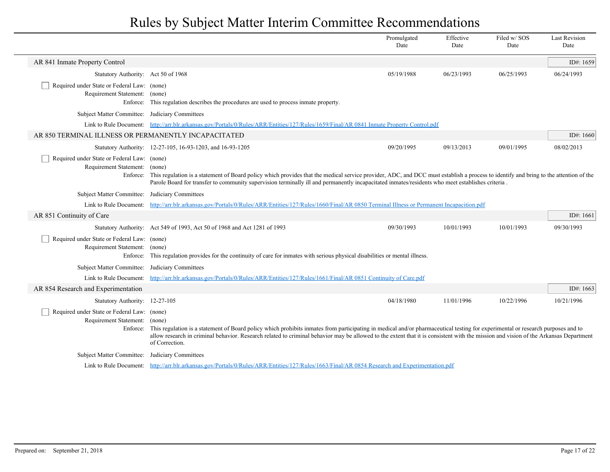|                                                                                          |                                                                                                                                                                                                                                                                                                                                                                                                              | Promulgated<br>Date | Effective<br>Date | Filed w/SOS<br>Date | <b>Last Revision</b><br>Date |
|------------------------------------------------------------------------------------------|--------------------------------------------------------------------------------------------------------------------------------------------------------------------------------------------------------------------------------------------------------------------------------------------------------------------------------------------------------------------------------------------------------------|---------------------|-------------------|---------------------|------------------------------|
| AR 841 Inmate Property Control                                                           |                                                                                                                                                                                                                                                                                                                                                                                                              |                     |                   |                     | ID#: 1659                    |
| Statutory Authority: Act 50 of 1968                                                      |                                                                                                                                                                                                                                                                                                                                                                                                              | 05/19/1988          | 06/23/1993        | 06/25/1993          | 06/24/1993                   |
| Required under State or Federal Law: (none)<br>Requirement Statement: (none)             | Enforce: This regulation describes the procedures are used to process inmate property.                                                                                                                                                                                                                                                                                                                       |                     |                   |                     |                              |
| Subject Matter Committee: Judiciary Committees                                           |                                                                                                                                                                                                                                                                                                                                                                                                              |                     |                   |                     |                              |
|                                                                                          | Link to Rule Document: http://arr.blr.arkansas.gov/Portals/0/Rules/ARR/Entities/127/Rules/1659/Final/AR 0841 Inmate Property Control.pdf                                                                                                                                                                                                                                                                     |                     |                   |                     |                              |
| AR 850 TERMINAL ILLNESS OR PERMANENTLY INCAPACITATED                                     |                                                                                                                                                                                                                                                                                                                                                                                                              |                     |                   |                     | ID#: 1660                    |
|                                                                                          | Statutory Authority: 12-27-105, 16-93-1203, and 16-93-1205                                                                                                                                                                                                                                                                                                                                                   | 09/20/1995          | 09/13/2013        | 09/01/1995          | 08/02/2013                   |
| Required under State or Federal Law: (none)<br>Requirement Statement: (none)<br>Enforce: | This regulation is a statement of Board policy which provides that the medical service provider, ADC, and DCC must establish a process to identify and bring to the attention of the<br>Parole Board for transfer to community supervision terminally ill and permanently incapacitated inmates/residents who meet establishes criteria.                                                                     |                     |                   |                     |                              |
| Subject Matter Committee: Judiciary Committees                                           |                                                                                                                                                                                                                                                                                                                                                                                                              |                     |                   |                     |                              |
|                                                                                          | Link to Rule Document: http://arr.blr.arkansas.gov/Portals/0/Rules/ARR/Entities/127/Rules/1660/Final/AR 0850 Terminal Illness or Permanent Incapacition.pdf                                                                                                                                                                                                                                                  |                     |                   |                     |                              |
| AR 851 Continuity of Care                                                                |                                                                                                                                                                                                                                                                                                                                                                                                              |                     |                   |                     | ID#: 1661                    |
|                                                                                          | Statutory Authority: Act 549 of 1993, Act 50 of 1968 and Act 1281 of 1993                                                                                                                                                                                                                                                                                                                                    | 09/30/1993          | 10/01/1993        | 10/01/1993          | 09/30/1993                   |
| Required under State or Federal Law: (none)<br>Requirement Statement: (none)<br>Enforce: | This regulation provides for the continuity of care for inmates with serious physical disabilities or mental illness.                                                                                                                                                                                                                                                                                        |                     |                   |                     |                              |
| <b>Subject Matter Committee:</b>                                                         | Judiciary Committees                                                                                                                                                                                                                                                                                                                                                                                         |                     |                   |                     |                              |
| Link to Rule Document:                                                                   | http://arr.blr.arkansas.gov/Portals/0/Rules/ARR/Entities/127/Rules/1661/Final/AR 0851 Continuity of Care.pdf                                                                                                                                                                                                                                                                                                 |                     |                   |                     |                              |
| AR 854 Research and Experimentation                                                      |                                                                                                                                                                                                                                                                                                                                                                                                              |                     |                   |                     | ID#: 1663                    |
| Statutory Authority: 12-27-105                                                           |                                                                                                                                                                                                                                                                                                                                                                                                              | 04/18/1980          | 11/01/1996        | 10/22/1996          | 10/21/1996                   |
| Required under State or Federal Law: (none)<br>Requirement Statement:                    | (none)<br>Enforce: This regulation is a statement of Board policy which prohibits inmates from participating in medical and/or pharmaceutical testing for experimental or research purposes and to<br>allow research in criminal behavior. Research related to criminal behavior may be allowed to the extent that it is consistent with the mission and vision of the Arkansas Department<br>of Correction. |                     |                   |                     |                              |
| <b>Subject Matter Committee:</b>                                                         | Judiciary Committees                                                                                                                                                                                                                                                                                                                                                                                         |                     |                   |                     |                              |
|                                                                                          | Link to Rule Document: http://arr.blr.arkansas.gov/Portals/0/Rules/ARR/Entities/127/Rules/1663/Final/AR 0854 Research and Experimentation.pdf                                                                                                                                                                                                                                                                |                     |                   |                     |                              |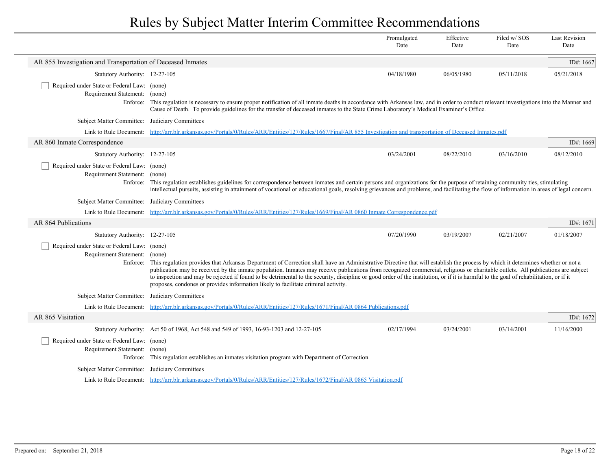|                                                                                   |                                                                                                                                                                                                                                                                                                                                                                                                                                                                                                                                                                                                                                                              | Promulgated<br>Date | Effective<br>Date | Filed w/SOS<br>Date | <b>Last Revision</b><br>Date |
|-----------------------------------------------------------------------------------|--------------------------------------------------------------------------------------------------------------------------------------------------------------------------------------------------------------------------------------------------------------------------------------------------------------------------------------------------------------------------------------------------------------------------------------------------------------------------------------------------------------------------------------------------------------------------------------------------------------------------------------------------------------|---------------------|-------------------|---------------------|------------------------------|
| AR 855 Investigation and Transportation of Deceased Inmates                       |                                                                                                                                                                                                                                                                                                                                                                                                                                                                                                                                                                                                                                                              |                     |                   |                     | ID#: 1667                    |
| Statutory Authority: 12-27-105                                                    |                                                                                                                                                                                                                                                                                                                                                                                                                                                                                                                                                                                                                                                              | 04/18/1980          | 06/05/1980        | 05/11/2018          | 05/21/2018                   |
| Required under State or Federal Law: (none)<br>Requirement Statement:             | (none)<br>Enforce: This regulation is necessary to ensure proper notification of all inmate deaths in accordance with Arkansas law, and in order to conduct relevant investigations into the Manner and<br>Cause of Death. To provide guidelines for the transfer of deceased inmates to the State Crime Laboratory's Medical Examiner's Office.                                                                                                                                                                                                                                                                                                             |                     |                   |                     |                              |
| Subject Matter Committee: Judiciary Committees                                    |                                                                                                                                                                                                                                                                                                                                                                                                                                                                                                                                                                                                                                                              |                     |                   |                     |                              |
| Link to Rule Document:                                                            | http://arr.blr.arkansas.gov/Portals/0/Rules/ARR/Entities/127/Rules/1667/Final/AR 855 Investigation and transportation of Deceased Inmates.pdf                                                                                                                                                                                                                                                                                                                                                                                                                                                                                                                |                     |                   |                     |                              |
| AR 860 Inmate Correspondence                                                      |                                                                                                                                                                                                                                                                                                                                                                                                                                                                                                                                                                                                                                                              |                     |                   |                     | ID#: $1669$                  |
| Statutory Authority: 12-27-105                                                    |                                                                                                                                                                                                                                                                                                                                                                                                                                                                                                                                                                                                                                                              | 03/24/2001          | 08/22/2010        | 03/16/2010          | 08/12/2010                   |
| Required under State or Federal Law: (none)<br>Requirement Statement: (none)      | Enforce: This regulation establishes guidelines for correspondence between inmates and certain persons and organizations for the purpose of retaining community ties, stimulating<br>intellectual pursuits, assisting in attainment of vocational or educational goals, resolving grievances and problems, and facilitating the flow of information in areas of legal concern.                                                                                                                                                                                                                                                                               |                     |                   |                     |                              |
| Subject Matter Committee: Judiciary Committees                                    |                                                                                                                                                                                                                                                                                                                                                                                                                                                                                                                                                                                                                                                              |                     |                   |                     |                              |
|                                                                                   | Link to Rule Document: http://arr.blr.arkansas.gov/Portals/0/Rules/ARR/Entities/127/Rules/1669/Final/AR 0860 Inmate Correspondence.pdf                                                                                                                                                                                                                                                                                                                                                                                                                                                                                                                       |                     |                   |                     |                              |
| AR 864 Publications                                                               |                                                                                                                                                                                                                                                                                                                                                                                                                                                                                                                                                                                                                                                              |                     |                   |                     | ID#: $1671$                  |
| Statutory Authority: 12-27-105                                                    |                                                                                                                                                                                                                                                                                                                                                                                                                                                                                                                                                                                                                                                              | 07/20/1990          | 03/19/2007        | 02/21/2007          | 01/18/2007                   |
| Required under State or Federal Law: (none)<br>Requirement Statement:<br>Enforce: | (none)<br>This regulation provides that Arkansas Department of Correction shall have an Administrative Directive that will establish the process by which it determines whether or not a<br>publication may be received by the inmate population. Inmates may receive publications from recognized commercial, religious or charitable outlets. All publications are subject<br>to inspection and may be rejected if found to be detrimental to the security, discipline or good order of the institution, or if it is harmful to the goal of rehabilitation, or if it<br>proposes, condones or provides information likely to facilitate criminal activity. |                     |                   |                     |                              |
| Subject Matter Committee: Judiciary Committees                                    |                                                                                                                                                                                                                                                                                                                                                                                                                                                                                                                                                                                                                                                              |                     |                   |                     |                              |
|                                                                                   | Link to Rule Document: http://arr.blr.arkansas.gov/Portals/0/Rules/ARR/Entities/127/Rules/1671/Final/AR 0864 Publications.pdf                                                                                                                                                                                                                                                                                                                                                                                                                                                                                                                                |                     |                   |                     |                              |
| AR 865 Visitation                                                                 |                                                                                                                                                                                                                                                                                                                                                                                                                                                                                                                                                                                                                                                              |                     |                   |                     | ID#: $1672$                  |
|                                                                                   | Statutory Authority: Act 50 of 1968, Act 548 and 549 of 1993, 16-93-1203 and 12-27-105                                                                                                                                                                                                                                                                                                                                                                                                                                                                                                                                                                       | 02/17/1994          | 03/24/2001        | 03/14/2001          | 11/16/2000                   |
| Required under State or Federal Law: (none)<br>Requirement Statement:             | (none)<br>Enforce: This regulation establishes an inmates visitation program with Department of Correction.                                                                                                                                                                                                                                                                                                                                                                                                                                                                                                                                                  |                     |                   |                     |                              |
| Subject Matter Committee: Judiciary Committees                                    |                                                                                                                                                                                                                                                                                                                                                                                                                                                                                                                                                                                                                                                              |                     |                   |                     |                              |
|                                                                                   | Link to Rule Document: http://arr.blr.arkansas.gov/Portals/0/Rules/ARR/Entities/127/Rules/1672/Final/AR 0865 Visitation.pdf                                                                                                                                                                                                                                                                                                                                                                                                                                                                                                                                  |                     |                   |                     |                              |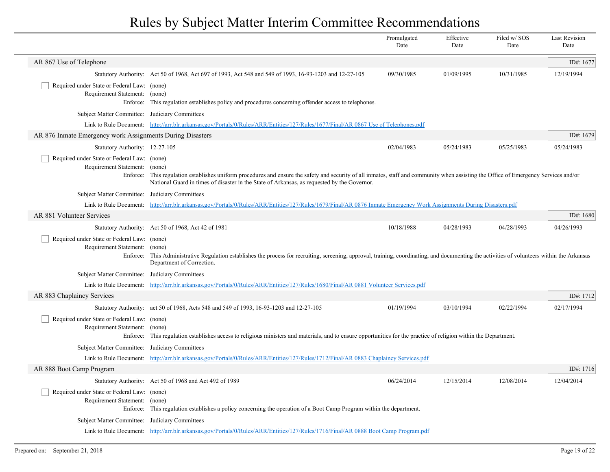|                                                                                   |                                                                                                                                                                                                                                                                                                | Promulgated<br>Date | Effective<br>Date | Filed w/SOS<br>Date | <b>Last Revision</b><br>Date |
|-----------------------------------------------------------------------------------|------------------------------------------------------------------------------------------------------------------------------------------------------------------------------------------------------------------------------------------------------------------------------------------------|---------------------|-------------------|---------------------|------------------------------|
| AR 867 Use of Telephone                                                           |                                                                                                                                                                                                                                                                                                |                     |                   |                     | ID#: 1677                    |
|                                                                                   | Statutory Authority: Act 50 of 1968, Act 697 of 1993, Act 548 and 549 of 1993, 16-93-1203 and 12-27-105                                                                                                                                                                                        | 09/30/1985          | 01/09/1995        | 10/31/1985          | 12/19/1994                   |
| Required under State or Federal Law: (none)<br>Requirement Statement:<br>Enforce: | (none)<br>This regulation establishes policy and procedures concerning offender access to telephones.                                                                                                                                                                                          |                     |                   |                     |                              |
| Subject Matter Committee: Judiciary Committees                                    |                                                                                                                                                                                                                                                                                                |                     |                   |                     |                              |
|                                                                                   | Link to Rule Document: http://arr.blr.arkansas.gov/Portals/0/Rules/ARR/Entities/127/Rules/1677/Final/AR 0867 Use of Telephones.pdf                                                                                                                                                             |                     |                   |                     |                              |
| AR 876 Inmate Emergency work Assignments During Disasters                         |                                                                                                                                                                                                                                                                                                |                     |                   |                     | ID#: 1679                    |
| Statutory Authority: 12-27-105                                                    |                                                                                                                                                                                                                                                                                                | 02/04/1983          | 05/24/1983        | 05/25/1983          | 05/24/1983                   |
| Required under State or Federal Law: (none)<br>Requirement Statement:             | (none)<br>Enforce: This regulation establishes uniform procedures and ensure the safety and security of all inmates, staff and community when assisting the Office of Emergency Services and/or<br>National Guard in times of disaster in the State of Arkansas, as requested by the Governor. |                     |                   |                     |                              |
| Subject Matter Committee:                                                         | Judiciary Committees                                                                                                                                                                                                                                                                           |                     |                   |                     |                              |
|                                                                                   | Link to Rule Document: http://arr.blr.arkansas.gov/Portals/0/Rules/ARR/Entities/127/Rules/1679/Final/AR 0876 Inmate Emergency Work Assignments During Disasters.pdf                                                                                                                            |                     |                   |                     |                              |
| AR 881 Volunteer Services                                                         |                                                                                                                                                                                                                                                                                                |                     |                   |                     | ID#: 1680                    |
|                                                                                   | Statutory Authority: Act 50 of 1968, Act 42 of 1981                                                                                                                                                                                                                                            | 10/18/1988          | 04/28/1993        | 04/28/1993          | 04/26/1993                   |
| Required under State or Federal Law: (none)<br>Requirement Statement:             | (none)<br>Enforce: This Administrative Regulation establishes the process for recruiting, screening, approval, training, coordinating, and documenting the activities of volunteers within the Arkansas<br>Department of Correction.                                                           |                     |                   |                     |                              |
| Subject Matter Committee: Judiciary Committees                                    |                                                                                                                                                                                                                                                                                                |                     |                   |                     |                              |
|                                                                                   | Link to Rule Document: http://arr.blr.arkansas.gov/Portals/0/Rules/ARR/Entities/127/Rules/1680/Final/AR 0881 Volunteer Services.pdf                                                                                                                                                            |                     |                   |                     |                              |
| AR 883 Chaplaincy Services                                                        |                                                                                                                                                                                                                                                                                                |                     |                   |                     | ID#: 1712                    |
|                                                                                   | Statutory Authority: act 50 of 1968, Acts 548 and 549 of 1993, 16-93-1203 and 12-27-105                                                                                                                                                                                                        | 01/19/1994          | 03/10/1994        | 02/22/1994          | 02/17/1994                   |
| Required under State or Federal Law: (none)<br>Requirement Statement: (none)      | Enforce: This regulation establishes access to religious ministers and materials, and to ensure opportunities for the practice of religion within the Department.                                                                                                                              |                     |                   |                     |                              |
| Subject Matter Committee: Judiciary Committees                                    |                                                                                                                                                                                                                                                                                                |                     |                   |                     |                              |
|                                                                                   | Link to Rule Document: http://arr.blr.arkansas.gov/Portals/0/Rules/ARR/Entities/127/Rules/1712/Final/AR 0883 Chaplaincy Services.pdf                                                                                                                                                           |                     |                   |                     |                              |
| AR 888 Boot Camp Program                                                          |                                                                                                                                                                                                                                                                                                |                     |                   |                     | ID#: 1716                    |
|                                                                                   | Statutory Authority: Act 50 of 1968 and Act 492 of 1989                                                                                                                                                                                                                                        | 06/24/2014          | 12/15/2014        | 12/08/2014          | 12/04/2014                   |
| Required under State or Federal Law: (none)<br>Requirement Statement:<br>Enforce: | (none)<br>This regulation establishes a policy concerning the operation of a Boot Camp Program within the department.                                                                                                                                                                          |                     |                   |                     |                              |
| Subject Matter Committee:                                                         | Judiciary Committees                                                                                                                                                                                                                                                                           |                     |                   |                     |                              |
|                                                                                   | Link to Rule Document: http://arr.blr.arkansas.gov/Portals/0/Rules/ARR/Entities/127/Rules/1716/Final/AR 0888 Boot Camp Program.pdf                                                                                                                                                             |                     |                   |                     |                              |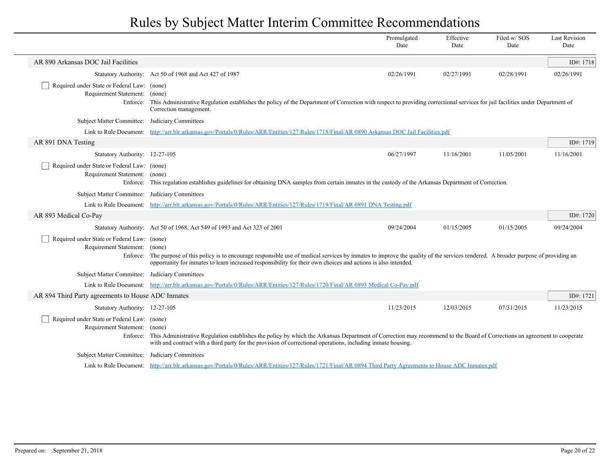|                                                                              |                                                                                                                                                                                                                                                                                                                  | Promulgated<br>Date | Effective<br>Date | Filed w/SOS<br>Date | <b>Last Revision</b><br>Date |
|------------------------------------------------------------------------------|------------------------------------------------------------------------------------------------------------------------------------------------------------------------------------------------------------------------------------------------------------------------------------------------------------------|---------------------|-------------------|---------------------|------------------------------|
| AR 890 Arkansas DOC Jail Facilities                                          |                                                                                                                                                                                                                                                                                                                  |                     |                   |                     | ID#: 1718                    |
|                                                                              | Statutory Authority: Act 50 of 1968 and Act 427 of 1987                                                                                                                                                                                                                                                          | 02/26/1991          | 02/27/1991        | 02/28/1991          | 02/26/1991                   |
| Required under State or Federal Law: (none)<br>Requirement Statement:        | (none)<br>Enforce: This Administrative Regulation establishes the policy of the Department of Correction with respect to providing correctional services for jail facilities under Department of<br>Correction management.                                                                                       |                     |                   |                     |                              |
| Subject Matter Committee: Judiciary Committees                               |                                                                                                                                                                                                                                                                                                                  |                     |                   |                     |                              |
| Link to Rule Document:                                                       | http://arr.blr.arkansas.gov/Portals/0/Rules/ARR/Entities/127/Rules/1718/Final/AR 0890 Arkansas DOC Jail Facilities.pdf                                                                                                                                                                                           |                     |                   |                     |                              |
| AR 891 DNA Testing                                                           |                                                                                                                                                                                                                                                                                                                  |                     |                   |                     | ID#: 1719                    |
| Statutory Authority: 12-27-105                                               |                                                                                                                                                                                                                                                                                                                  | 06/27/1997          | 11/16/2001        | 11/05/2001          | 11/16/2001                   |
| Required under State or Federal Law: (none)<br>Requirement Statement: (none) | Enforce: This regulation establishes guidelines for obtaining DNA samples from certain inmates in the custody of the Arkansas Department of Correction.                                                                                                                                                          |                     |                   |                     |                              |
| Subject Matter Committee: Judiciary Committees                               |                                                                                                                                                                                                                                                                                                                  |                     |                   |                     |                              |
|                                                                              | Link to Rule Document: http://arr.blr.arkansas.gov/Portals/0/Rules/ARR/Entities/127/Rules/1719/Final/AR 0891 DNA Testing.pdf                                                                                                                                                                                     |                     |                   |                     |                              |
| AR 893 Medical Co-Pay                                                        |                                                                                                                                                                                                                                                                                                                  |                     |                   |                     | ID#: 1720                    |
|                                                                              | Statutory Authority: Act 50 of 1968, Act 549 of 1993 and Act 323 of 2001                                                                                                                                                                                                                                         | 09/24/2004          | 01/15/2005        | 01/15/2005          | 09/24/2004                   |
| Required under State or Federal Law: (none)<br>Requirement Statement:        | (none)<br>Enforce: The purpose of this policy is to encourage responsible use of medical services by inmates to improve the quality of the services rendered. A broader purpose of providing an<br>opportunity for inmates to learn increased responsibility for their own choices and actions is also intended. |                     |                   |                     |                              |
| Subject Matter Committee: Judiciary Committees                               |                                                                                                                                                                                                                                                                                                                  |                     |                   |                     |                              |
|                                                                              | Link to Rule Document: http://arr.blr.arkansas.gov/Portals/0/Rules/ARR/Entities/127/Rules/1720/Final/AR 0893 Medical Co-Pay.pdf                                                                                                                                                                                  |                     |                   |                     |                              |
| AR 894 Third Party agreements to House ADC Inmates                           |                                                                                                                                                                                                                                                                                                                  |                     |                   |                     | ID#: 1721                    |
| Statutory Authority: 12-27-105                                               |                                                                                                                                                                                                                                                                                                                  | 11/23/2015          | 12/03/2015        | 07/31/2015          | 11/23/2015                   |
| Required under State or Federal Law: (none)<br>Requirement Statement:        | (none)<br>Enforce: This Administrative Regulation establishes the policy by which the Arkansas Department of Correction may recommend to the Board of Corrections an agreement to cooperate<br>with and contract with a third party for the provision of correctional operations, including inmate housing.      |                     |                   |                     |                              |
| Subject Matter Committee: Judiciary Committees                               |                                                                                                                                                                                                                                                                                                                  |                     |                   |                     |                              |
|                                                                              | Link to Rule Document: http://arr.blr.arkansas.gov/Portals/0/Rules/ARR/Entities/127/Rules/1721/Final/AR 0894 Third Party Agreements to House ADC Inmates.pdf                                                                                                                                                     |                     |                   |                     |                              |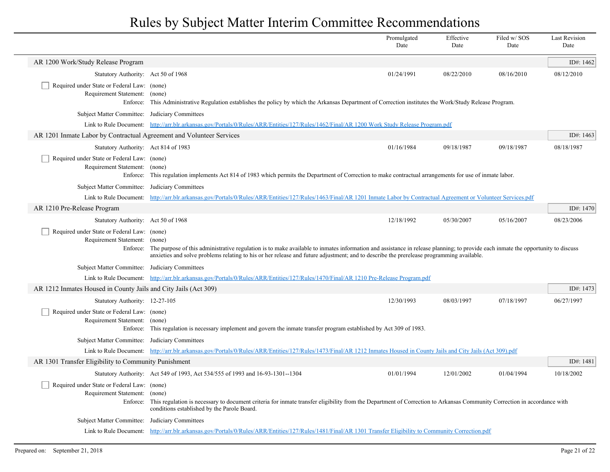|                                                                                   |                                                                                                                                                                                                                                                                                                                                       | Promulgated<br>Date                                                                                                                                                          | Effective<br>Date | Filed w/SOS<br>Date | <b>Last Revision</b><br>Date |  |  |
|-----------------------------------------------------------------------------------|---------------------------------------------------------------------------------------------------------------------------------------------------------------------------------------------------------------------------------------------------------------------------------------------------------------------------------------|------------------------------------------------------------------------------------------------------------------------------------------------------------------------------|-------------------|---------------------|------------------------------|--|--|
| AR 1200 Work/Study Release Program                                                |                                                                                                                                                                                                                                                                                                                                       |                                                                                                                                                                              |                   |                     | ID#: 1462                    |  |  |
| Statutory Authority: Act 50 of 1968                                               |                                                                                                                                                                                                                                                                                                                                       | 01/24/1991                                                                                                                                                                   | 08/22/2010        | 08/16/2010          | 08/12/2010                   |  |  |
| Required under State or Federal Law: (none)<br>Requirement Statement:<br>Enforce: | (none)<br>This Administrative Regulation establishes the policy by which the Arkansas Department of Correction institutes the Work/Study Release Program.                                                                                                                                                                             |                                                                                                                                                                              |                   |                     |                              |  |  |
| Subject Matter Committee: Judiciary Committees                                    |                                                                                                                                                                                                                                                                                                                                       |                                                                                                                                                                              |                   |                     |                              |  |  |
|                                                                                   | Link to Rule Document: http://arr.blr.arkansas.gov/Portals/0/Rules/ARR/Entities/127/Rules/1462/Final/AR 1200 Work Study Release Program.pdf                                                                                                                                                                                           |                                                                                                                                                                              |                   |                     |                              |  |  |
| AR 1201 Inmate Labor by Contractual Agreement and Volunteer Services              |                                                                                                                                                                                                                                                                                                                                       |                                                                                                                                                                              |                   |                     | ID#: 1463                    |  |  |
| Statutory Authority: Act 814 of 1983                                              |                                                                                                                                                                                                                                                                                                                                       | 01/16/1984                                                                                                                                                                   | 09/18/1987        | 09/18/1987          | 08/18/1987                   |  |  |
| Required under State or Federal Law: (none)<br>Requirement Statement:<br>Enforce: | (none)<br>This regulation implements Act 814 of 1983 which permits the Department of Correction to make contractual arrangements for use of inmate labor.                                                                                                                                                                             |                                                                                                                                                                              |                   |                     |                              |  |  |
| <b>Subject Matter Committee:</b>                                                  | Judiciary Committees                                                                                                                                                                                                                                                                                                                  |                                                                                                                                                                              |                   |                     |                              |  |  |
|                                                                                   |                                                                                                                                                                                                                                                                                                                                       | Link to Rule Document: http://arr.blr.arkansas.gov/Portals/0/Rules/ARR/Entities/127/Rules/1463/Final/AR 1201 Inmate Labor by Contractual Agreement or Volunteer Services.pdf |                   |                     |                              |  |  |
| AR 1210 Pre-Release Program                                                       |                                                                                                                                                                                                                                                                                                                                       |                                                                                                                                                                              |                   |                     | ID#: 1470                    |  |  |
| Statutory Authority: Act 50 of 1968                                               |                                                                                                                                                                                                                                                                                                                                       | 12/18/1992                                                                                                                                                                   | 05/30/2007        | 05/16/2007          | 08/23/2006                   |  |  |
| Required under State or Federal Law: (none)<br>Requirement Statement:<br>Enforce: | (none)<br>The purpose of this administrative regulation is to make available to inmates information and assistance in release planning; to provide each inmate the opportunity to discuss<br>anxieties and solve problems relating to his or her release and future adjustment; and to describe the prerelease programming available. |                                                                                                                                                                              |                   |                     |                              |  |  |
| Subject Matter Committee: Judiciary Committees                                    |                                                                                                                                                                                                                                                                                                                                       |                                                                                                                                                                              |                   |                     |                              |  |  |
|                                                                                   | Link to Rule Document: http://arr.blr.arkansas.gov/Portals/0/Rules/ARR/Entities/127/Rules/1470/Final/AR 1210 Pre-Release Program.pdf                                                                                                                                                                                                  |                                                                                                                                                                              |                   |                     |                              |  |  |
| AR 1212 Inmates Housed in County Jails and City Jails (Act 309)                   |                                                                                                                                                                                                                                                                                                                                       |                                                                                                                                                                              |                   |                     | ID#: $1473$                  |  |  |
| Statutory Authority: 12-27-105                                                    |                                                                                                                                                                                                                                                                                                                                       | 12/30/1993                                                                                                                                                                   | 08/03/1997        | 07/18/1997          | 06/27/1997                   |  |  |
| Required under State or Federal Law: (none)<br>Requirement Statement:             | (none)<br>Enforce: This regulation is necessary implement and govern the inmate transfer program established by Act 309 of 1983.                                                                                                                                                                                                      |                                                                                                                                                                              |                   |                     |                              |  |  |
| Subject Matter Committee: Judiciary Committees                                    |                                                                                                                                                                                                                                                                                                                                       |                                                                                                                                                                              |                   |                     |                              |  |  |
|                                                                                   | Link to Rule Document: http://arr.blr.arkansas.gov/Portals/0/Rules/ARR/Entities/127/Rules/1473/Final/AR 1212 Inmates Housed in County Jails and City Jails (Act 309).pdf                                                                                                                                                              |                                                                                                                                                                              |                   |                     |                              |  |  |
| AR 1301 Transfer Eligibility to Community Punishment                              |                                                                                                                                                                                                                                                                                                                                       |                                                                                                                                                                              |                   |                     | ID#: 1481                    |  |  |
|                                                                                   | Statutory Authority: Act 549 of 1993, Act 534/555 of 1993 and 16-93-1301--1304                                                                                                                                                                                                                                                        | 01/01/1994                                                                                                                                                                   | 12/01/2002        | 01/04/1994          | 10/18/2002                   |  |  |
| Required under State or Federal Law: (none)<br>Requirement Statement:<br>Enforce: | (none)<br>This regulation is necessary to document criteria for inmate transfer eligibility from the Department of Correction to Arkansas Community Correction in accordance with<br>conditions established by the Parole Board.                                                                                                      |                                                                                                                                                                              |                   |                     |                              |  |  |
| <b>Subject Matter Committee:</b>                                                  | Judiciary Committees                                                                                                                                                                                                                                                                                                                  |                                                                                                                                                                              |                   |                     |                              |  |  |
|                                                                                   | Link to Rule Document: http://arr.blr.arkansas.gov/Portals/0/Rules/ARR/Entities/127/Rules/1481/Final/AR 1301 Transfer Eligibility to Community Correction.pdf                                                                                                                                                                         |                                                                                                                                                                              |                   |                     |                              |  |  |